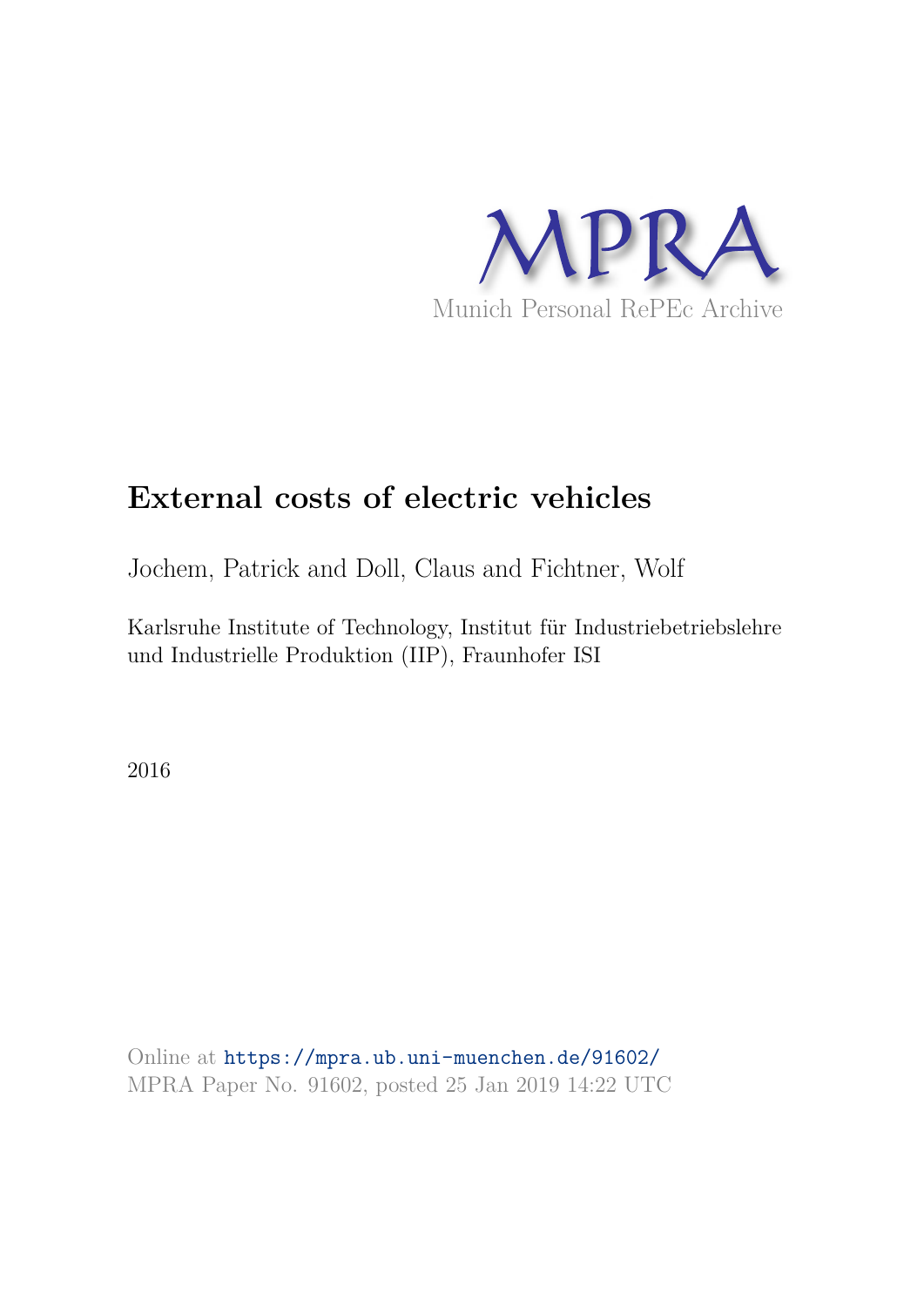

# **External costs of electric vehicles**

Jochem, Patrick and Doll, Claus and Fichtner, Wolf

Karlsruhe Institute of Technology, Institut für Industriebetriebslehre und Industrielle Produktion (IIP), Fraunhofer ISI

2016

Online at https://mpra.ub.uni-muenchen.de/91602/ MPRA Paper No. 91602, posted 25 Jan 2019 14:22 UTC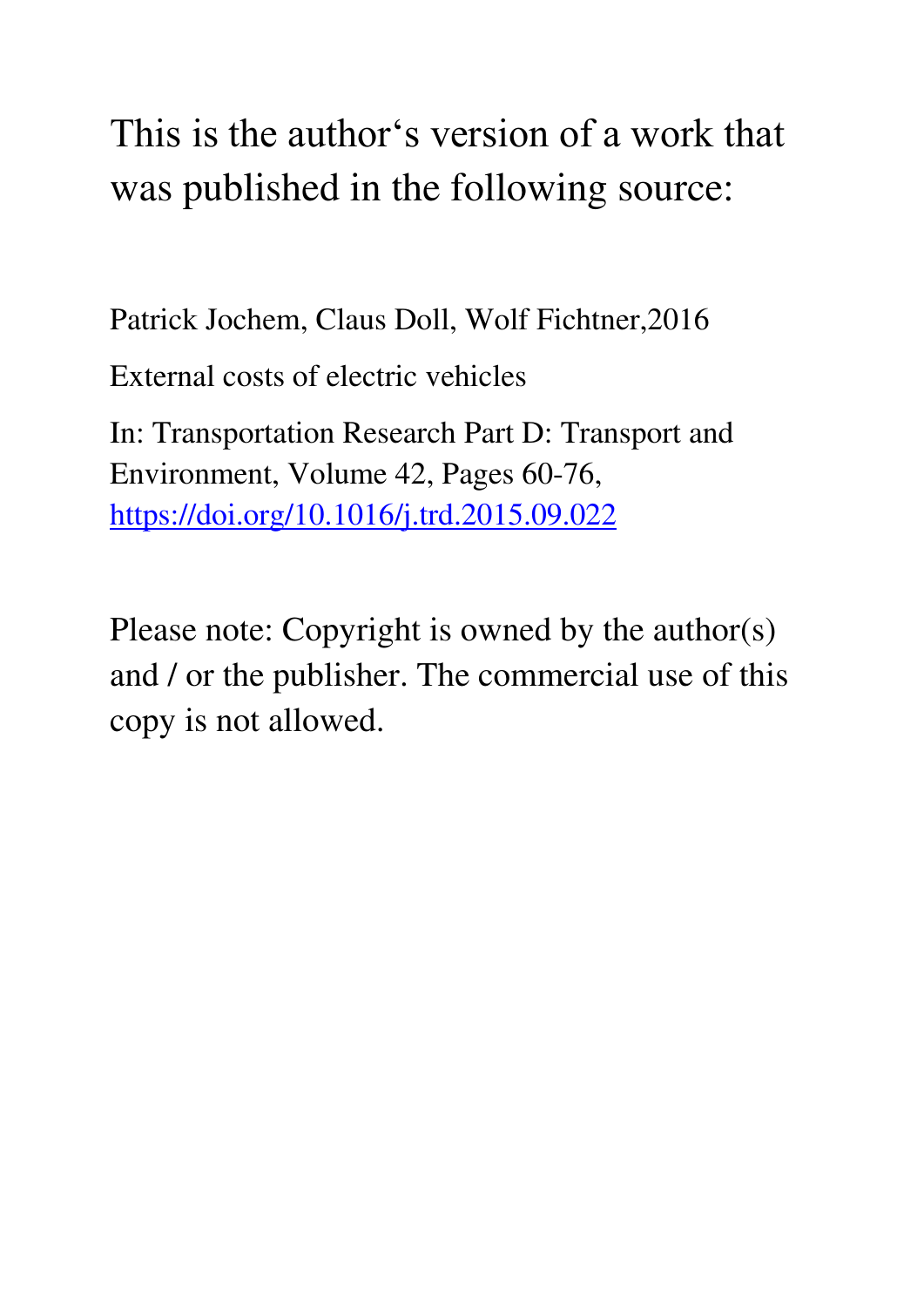This is the author's version of a work that was published in the following source:

Patrick Jochem, Claus Doll, Wolf Fichtner,2016

External costs of electric vehicles

In: Transportation Research Part D: Transport and Environment, Volume 42, Pages 60-76, <https://doi.org/10.1016/j.trd.2015.09.022>

Please note: Copyright is owned by the author(s) and / or the publisher. The commercial use of this copy is not allowed.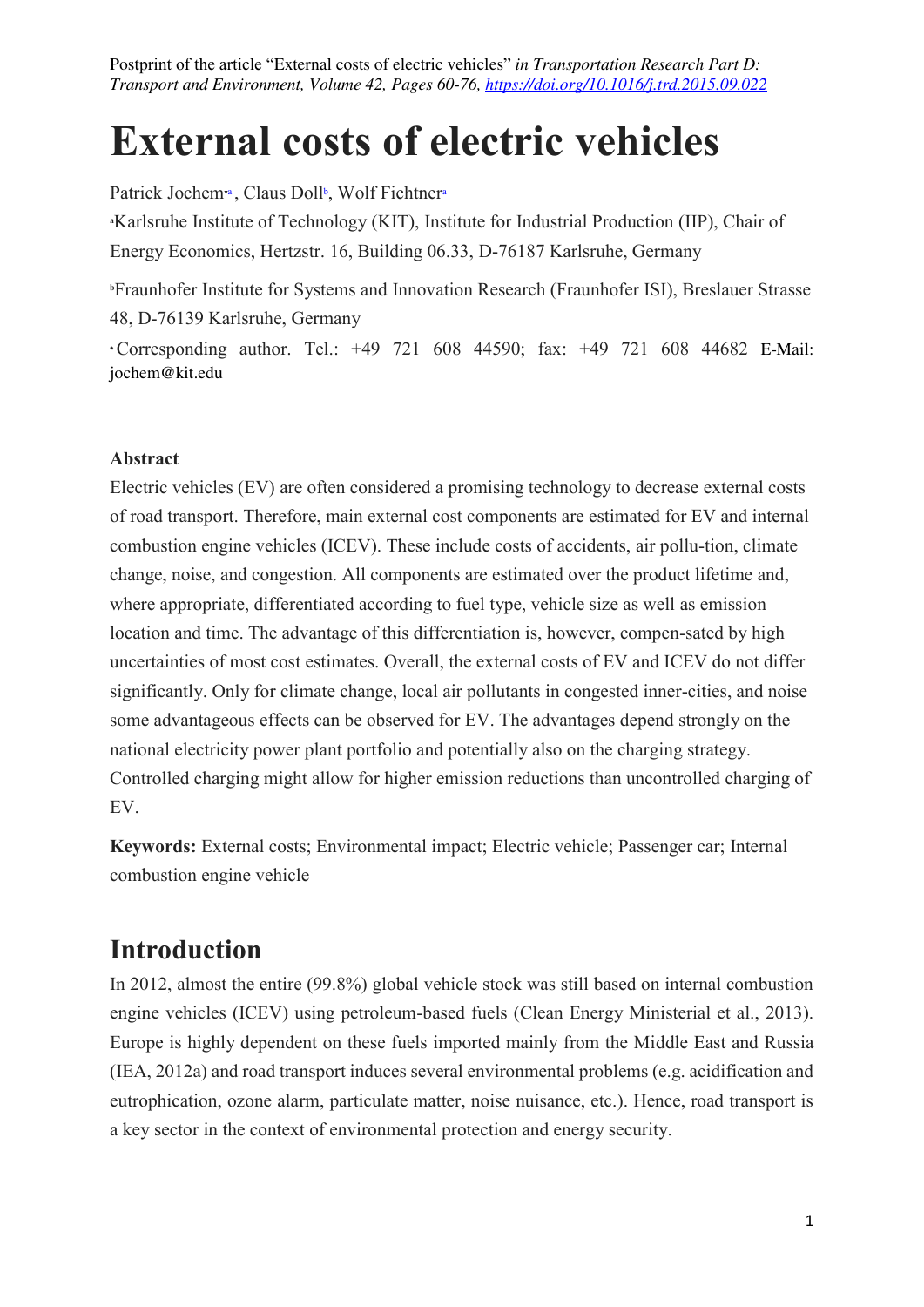# **External costs of electric vehicles**

Patrick Jochem<sup>\*a</sup>, Claus Doll<sup>b</sup>, Wolf Fichtner<sup>a</sup>

**<sup>a</sup>**Karlsruhe Institute of Technology (KIT), Institute for Industrial Production (IIP), Chair of Energy Economics, Hertzstr. 16, Building 06.33, D-76187 Karlsruhe, Germany

**<sup>b</sup>**Fraunhofer Institute for Systems and Innovation Research (Fraunhofer ISI), Breslauer Strasse 48, D-76139 Karlsruhe, Germany

⁎ Corresponding author. Tel.: +49 721 608 44590; fax: +49 721 608 44682 E-Mail: jochem@kit.edu

#### **Abstract**

Electric vehicles (EV) are often considered a promising technology to decrease external costs of road transport. Therefore, main external cost components are estimated for EV and internal combustion engine vehicles (ICEV). These include costs of accidents, air pollu-tion, climate change, noise, and congestion. All components are estimated over the product lifetime and, where appropriate, differentiated according to fuel type, vehicle size as well as emission location and time. The advantage of this differentiation is, however, compen-sated by high uncertainties of most cost estimates. Overall, the external costs of EV and ICEV do not differ significantly. Only for climate change, local air pollutants in congested inner-cities, and noise some advantageous effects can be observed for EV. The advantages depend strongly on the national electricity power plant portfolio and potentially also on the charging strategy. Controlled charging might allow for higher emission reductions than uncontrolled charging of EV.

**Keywords:** External costs; Environmental impact; Electric vehicle; Passenger car; Internal combustion engine vehicle

# **Introduction**

In 2012, almost the entire (99.8%) global vehicle stock was still based on internal combustion engine vehicles (ICEV) using petroleum-based fuels (Clean Energy Ministerial et al., 2013). Europe is highly dependent on these fuels imported mainly from the Middle East and Russia (IEA, 2012a) and road transport induces several environmental problems (e.g. acidification and eutrophication, ozone alarm, particulate matter, noise nuisance, etc.). Hence, road transport is a key sector in the context of environmental protection and energy security.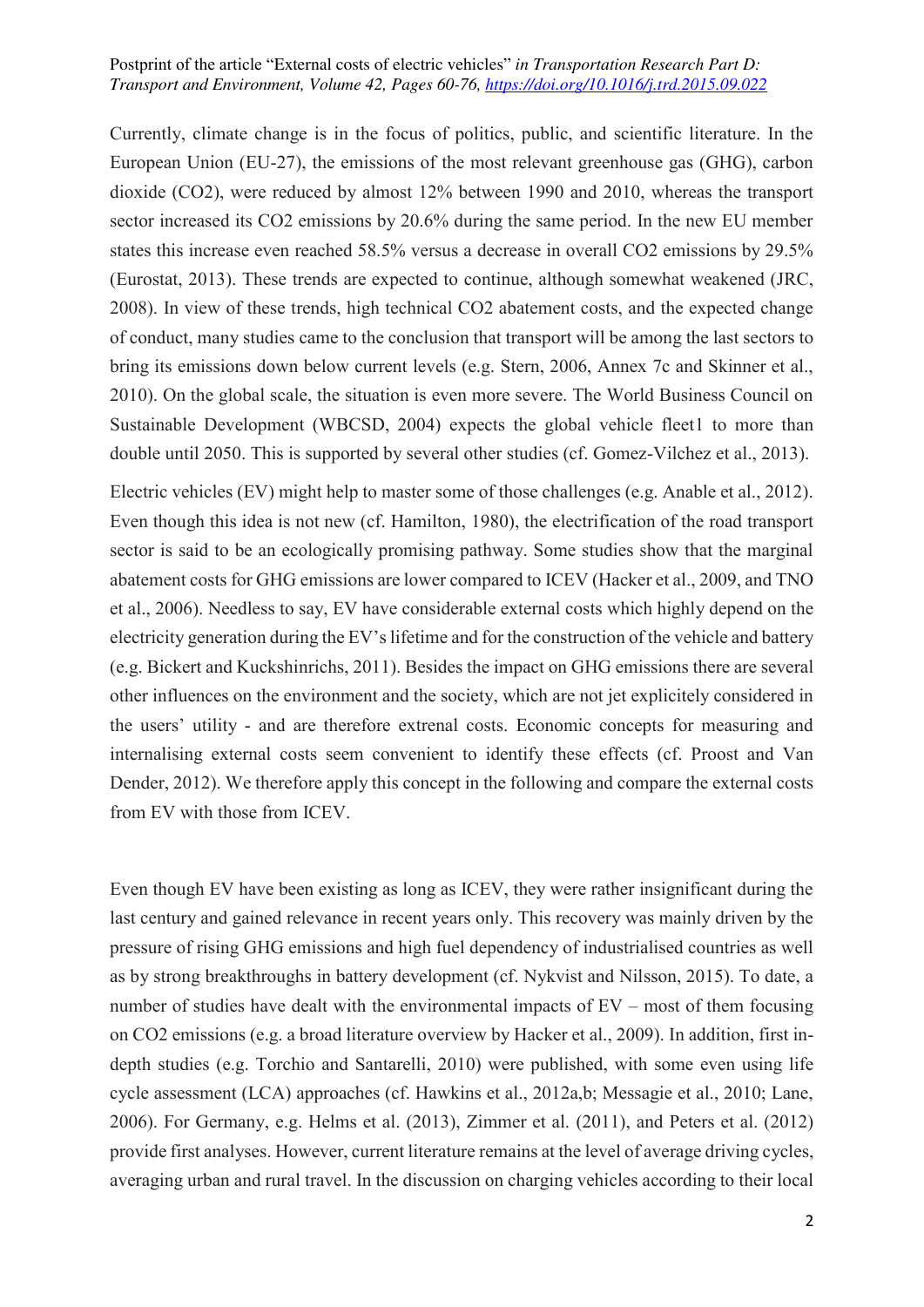Currently, climate change is in the focus of politics, public, and scientific literature. In the European Union (EU-27), the emissions of the most relevant greenhouse gas (GHG), carbon dioxide (CO2), were reduced by almost 12% between 1990 and 2010, whereas the transport sector increased its CO2 emissions by 20.6% during the same period. In the new EU member states this increase even reached 58.5% versus a decrease in overall CO2 emissions by 29.5% (Eurostat, 2013). These trends are expected to continue, although somewhat weakened (JRC, 2008). In view of these trends, high technical CO2 abatement costs, and the expected change of conduct, many studies came to the conclusion that transport will be among the last sectors to bring its emissions down below current levels (e.g. Stern, 2006, Annex 7c and Skinner et al., 2010). On the global scale, the situation is even more severe. The World Business Council on Sustainable Development (WBCSD, 2004) expects the global vehicle fleet1 to more than double until 2050. This is supported by several other studies (cf. Gomez-Vilchez et al., 2013).

Electric vehicles (EV) might help to master some of those challenges (e.g. Anable et al., 2012). Even though this idea is not new (cf. Hamilton, 1980), the electrification of the road transport sector is said to be an ecologically promising pathway. Some studies show that the marginal abatement costs for GHG emissions are lower compared to ICEV (Hacker et al., 2009, and TNO et al., 2006). Needless to say, EV have considerable external costs which highly depend on the electricity generation during the EV's lifetime and for the construction of the vehicle and battery (e.g. Bickert and Kuckshinrichs, 2011). Besides the impact on GHG emissions there are several other influences on the environment and the society, which are not jet explicitely considered in the users' utility - and are therefore extrenal costs. Economic concepts for measuring and internalising external costs seem convenient to identify these effects (cf. Proost and Van Dender, 2012). We therefore apply this concept in the following and compare the external costs from EV with those from ICEV.

Even though EV have been existing as long as ICEV, they were rather insignificant during the last century and gained relevance in recent years only. This recovery was mainly driven by the pressure of rising GHG emissions and high fuel dependency of industrialised countries as well as by strong breakthroughs in battery development (cf. Nykvist and Nilsson, 2015). To date, a number of studies have dealt with the environmental impacts of  $EV$  – most of them focusing on CO2 emissions (e.g. a broad literature overview by Hacker et al., 2009). In addition, first indepth studies (e.g. Torchio and Santarelli, 2010) were published, with some even using life cycle assessment (LCA) approaches (cf. Hawkins et al., 2012a,b; Messagie et al., 2010; Lane, 2006). For Germany, e.g. Helms et al. (2013), Zimmer et al. (2011), and Peters et al. (2012) provide first analyses. However, current literature remains at the level of average driving cycles, averaging urban and rural travel. In the discussion on charging vehicles according to their local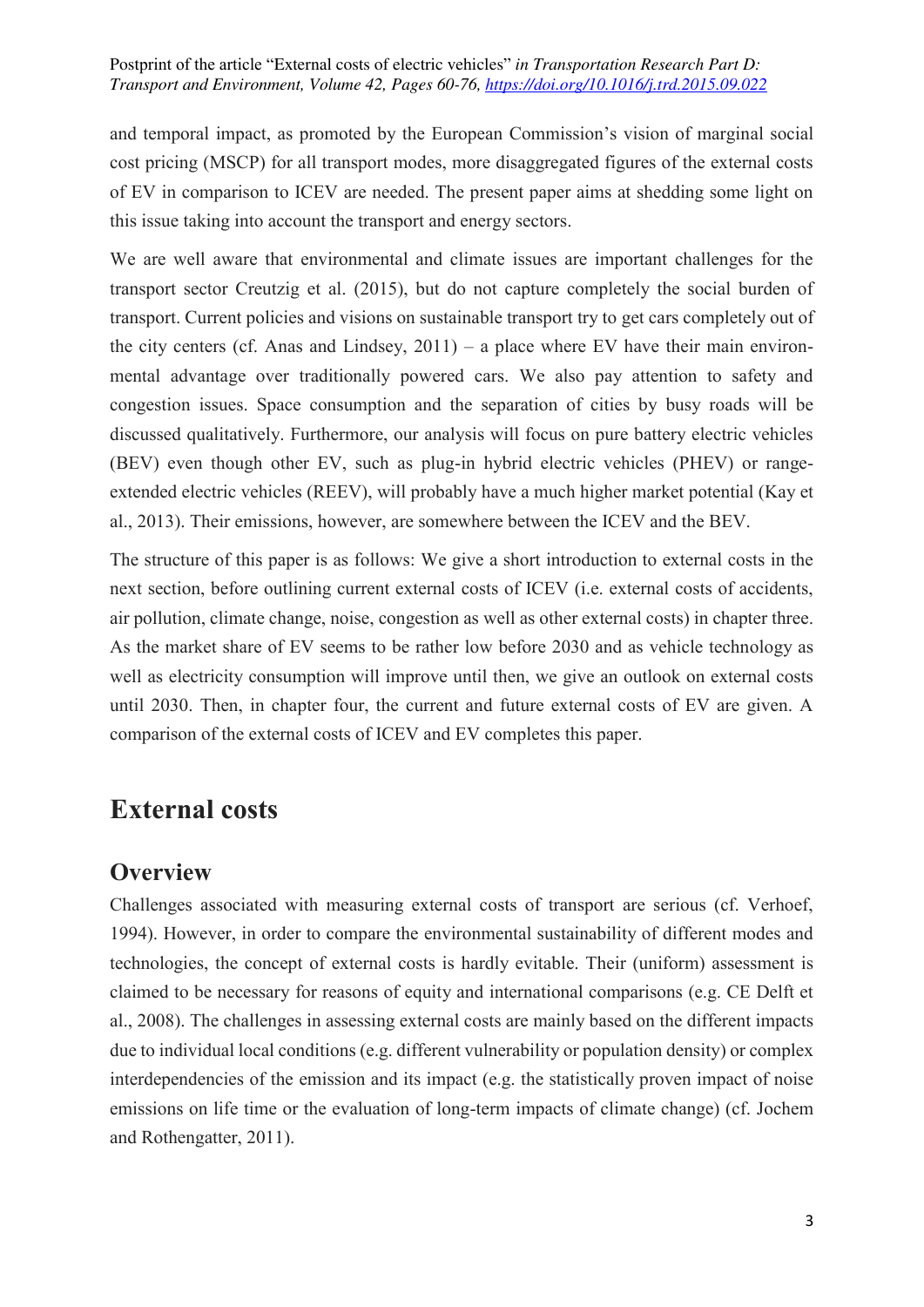and temporal impact, as promoted by the European Commission's vision of marginal social cost pricing (MSCP) for all transport modes, more disaggregated figures of the external costs of EV in comparison to ICEV are needed. The present paper aims at shedding some light on this issue taking into account the transport and energy sectors.

We are well aware that environmental and climate issues are important challenges for the transport sector Creutzig et al. (2015), but do not capture completely the social burden of transport. Current policies and visions on sustainable transport try to get cars completely out of the city centers (cf. Anas and Lindsey,  $2011$ ) – a place where EV have their main environmental advantage over traditionally powered cars. We also pay attention to safety and congestion issues. Space consumption and the separation of cities by busy roads will be discussed qualitatively. Furthermore, our analysis will focus on pure battery electric vehicles (BEV) even though other EV, such as plug-in hybrid electric vehicles (PHEV) or rangeextended electric vehicles (REEV), will probably have a much higher market potential (Kay et al., 2013). Their emissions, however, are somewhere between the ICEV and the BEV.

The structure of this paper is as follows: We give a short introduction to external costs in the next section, before outlining current external costs of ICEV (i.e. external costs of accidents, air pollution, climate change, noise, congestion as well as other external costs) in chapter three. As the market share of EV seems to be rather low before 2030 and as vehicle technology as well as electricity consumption will improve until then, we give an outlook on external costs until 2030. Then, in chapter four, the current and future external costs of EV are given. A comparison of the external costs of ICEV and EV completes this paper.

# **External costs**

## **Overview**

Challenges associated with measuring external costs of transport are serious (cf. Verhoef, 1994). However, in order to compare the environmental sustainability of different modes and technologies, the concept of external costs is hardly evitable. Their (uniform) assessment is claimed to be necessary for reasons of equity and international comparisons (e.g. CE Delft et al., 2008). The challenges in assessing external costs are mainly based on the different impacts due to individual local conditions (e.g. different vulnerability or population density) or complex interdependencies of the emission and its impact (e.g. the statistically proven impact of noise emissions on life time or the evaluation of long-term impacts of climate change) (cf. Jochem and Rothengatter, 2011).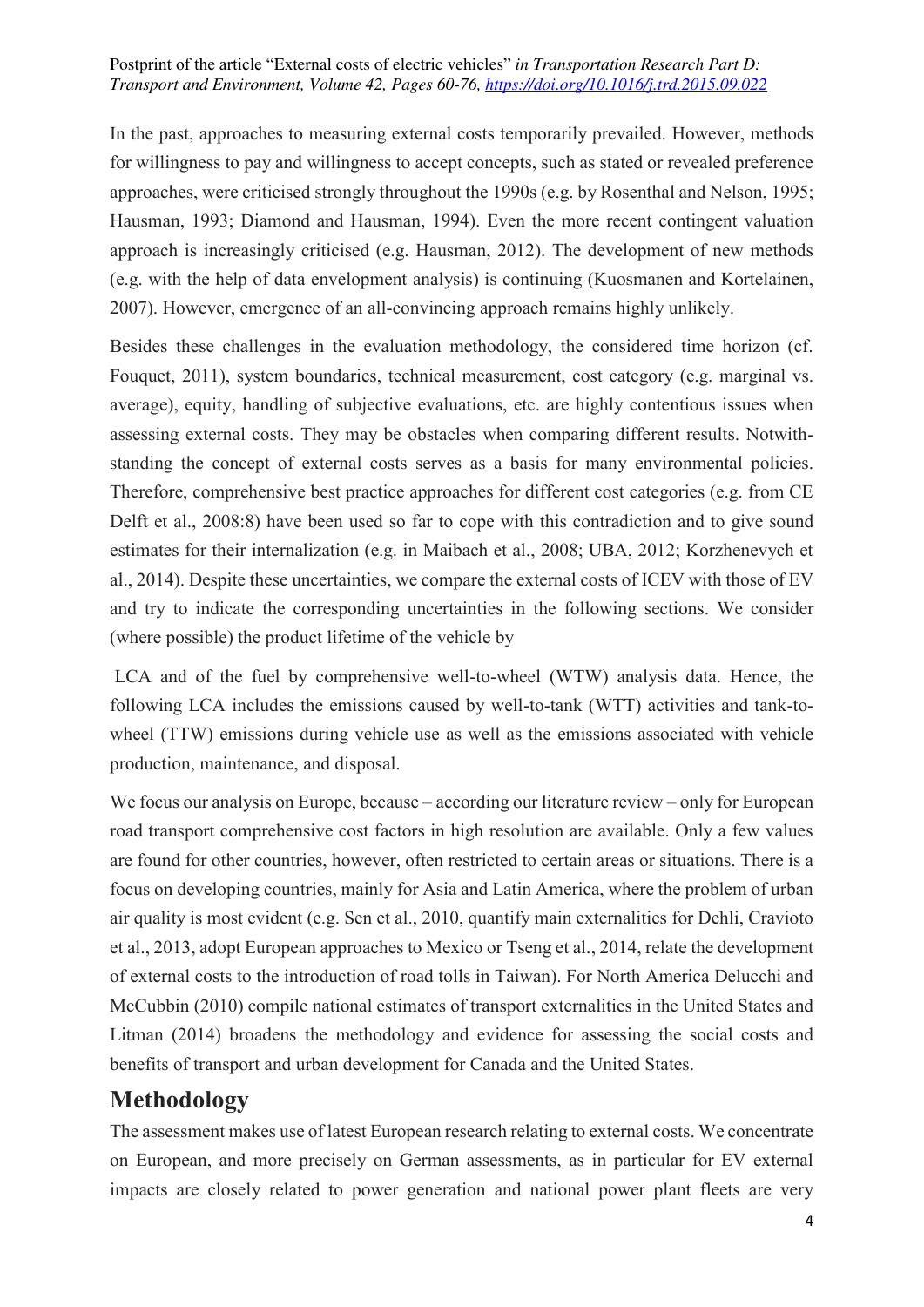In the past, approaches to measuring external costs temporarily prevailed. However, methods for willingness to pay and willingness to accept concepts, such as stated or revealed preference approaches, were criticised strongly throughout the 1990s (e.g. by Rosenthal and Nelson, 1995; Hausman, 1993; Diamond and Hausman, 1994). Even the more recent contingent valuation approach is increasingly criticised (e.g. Hausman, 2012). The development of new methods (e.g. with the help of data envelopment analysis) is continuing (Kuosmanen and Kortelainen, 2007). However, emergence of an all-convincing approach remains highly unlikely.

Besides these challenges in the evaluation methodology, the considered time horizon (cf. Fouquet, 2011), system boundaries, technical measurement, cost category (e.g. marginal vs. average), equity, handling of subjective evaluations, etc. are highly contentious issues when assessing external costs. They may be obstacles when comparing different results. Notwithstanding the concept of external costs serves as a basis for many environmental policies. Therefore, comprehensive best practice approaches for different cost categories (e.g. from CE Delft et al., 2008:8) have been used so far to cope with this contradiction and to give sound estimates for their internalization (e.g. in Maibach et al., 2008; UBA, 2012; Korzhenevych et al., 2014). Despite these uncertainties, we compare the external costs of ICEV with those of EV and try to indicate the corresponding uncertainties in the following sections. We consider (where possible) the product lifetime of the vehicle by

 LCA and of the fuel by comprehensive well-to-wheel (WTW) analysis data. Hence, the following LCA includes the emissions caused by well-to-tank (WTT) activities and tank-towheel (TTW) emissions during vehicle use as well as the emissions associated with vehicle production, maintenance, and disposal.

We focus our analysis on Europe, because – according our literature review – only for European road transport comprehensive cost factors in high resolution are available. Only a few values are found for other countries, however, often restricted to certain areas or situations. There is a focus on developing countries, mainly for Asia and Latin America, where the problem of urban air quality is most evident (e.g. Sen et al., 2010, quantify main externalities for Dehli, Cravioto et al., 2013, adopt European approaches to Mexico or Tseng et al., 2014, relate the development of external costs to the introduction of road tolls in Taiwan). For North America Delucchi and McCubbin (2010) compile national estimates of transport externalities in the United States and Litman (2014) broadens the methodology and evidence for assessing the social costs and benefits of transport and urban development for Canada and the United States.

## **Methodology**

The assessment makes use of latest European research relating to external costs. We concentrate on European, and more precisely on German assessments, as in particular for EV external impacts are closely related to power generation and national power plant fleets are very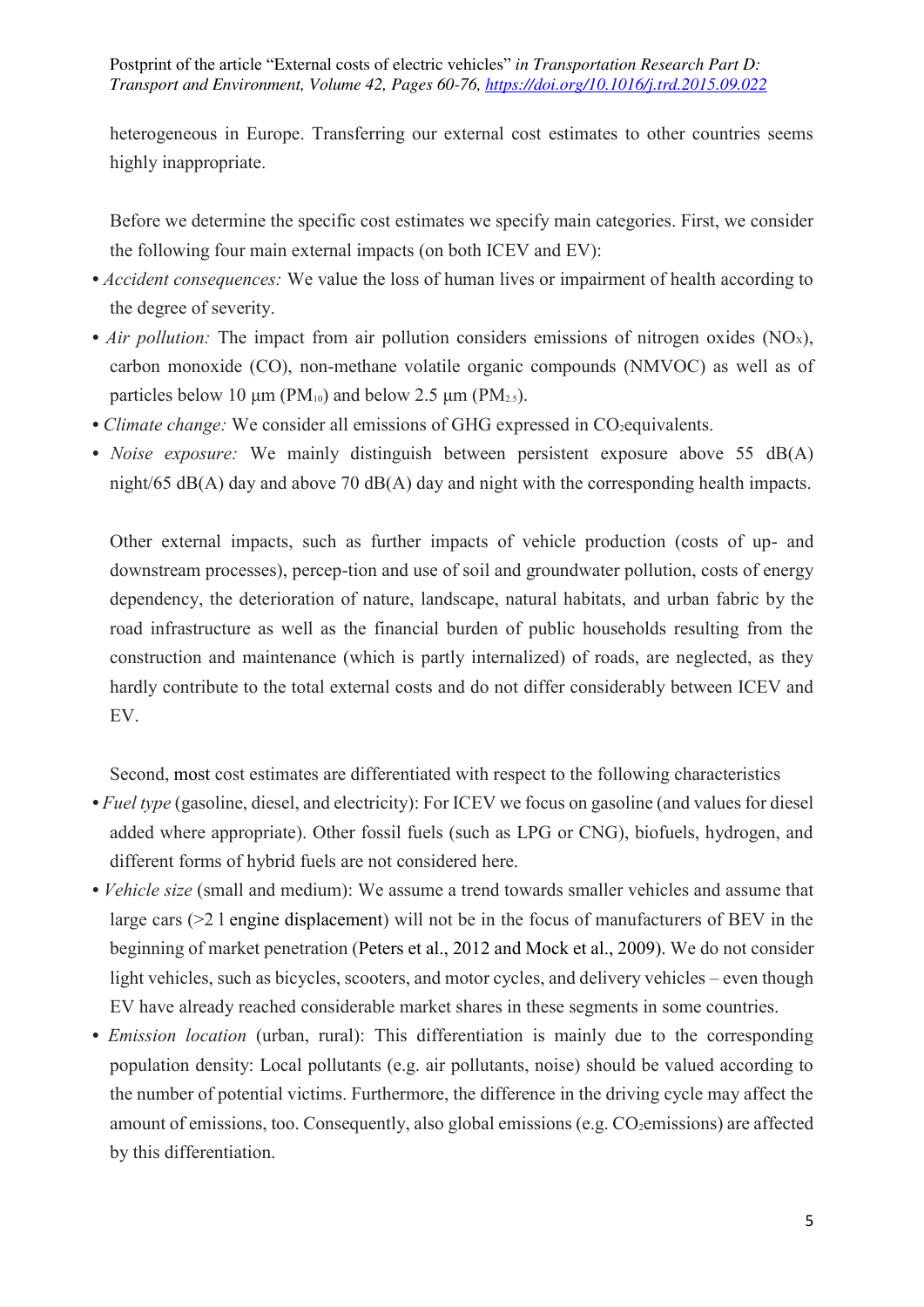heterogeneous in Europe. Transferring our external cost estimates to other countries seems highly inappropriate.

Before we determine the specific cost estimates we specify main categories. First, we consider the following four main external impacts (on both ICEV and EV):

- *Accident consequences:* We value the loss of human lives or impairment of health according to the degree of severity.
- *Air pollution:* The impact from air pollution considers emissions of nitrogen oxides (NO<sub>x</sub>), carbon monoxide (CO), non-methane volatile organic compounds (NMVOC) as well as of particles below 10  $\mu$ m (PM<sub>10</sub>) and below 2.5  $\mu$ m (PM<sub>2.5</sub>).
- *Climate change:* We consider all emissions of GHG expressed in CO<sub>2</sub>equivalents.
- **•** *Noise exposure:* We mainly distinguish between persistent exposure above 55 dB(A) night/65 dB(A) day and above 70 dB(A) day and night with the corresponding health impacts.

Other external impacts, such as further impacts of vehicle production (costs of up- and downstream processes), percep-tion and use of soil and groundwater pollution, costs of energy dependency, the deterioration of nature, landscape, natural habitats, and urban fabric by the road infrastructure as well as the financial burden of public households resulting from the construction and maintenance (which is partly internalized) of roads, are neglected, as they hardly contribute to the total external costs and do not differ considerably between ICEV and EV.

Second, most cost estimates are differentiated with respect to the following characteristics

- **•** *Fuel type* (gasoline, diesel, and electricity): For ICEV we focus on gasoline (and values for diesel added where appropriate). Other fossil fuels (such as LPG or CNG), biofuels, hydrogen, and different forms of hybrid fuels are not considered here.
- **•** *Vehicle size* (small and medium): We assume a trend towards smaller vehicles and assume that large cars (>2 l engine displacement) will not be in the focus of manufacturers of BEV in the beginning of market penetration (Peters et al., 2012 and Mock et al., 2009). We do not consider light vehicles, such as bicycles, scooters, and motor cycles, and delivery vehicles – even though EV have already reached considerable market shares in these segments in some countries.
- **•** *Emission location* (urban, rural): This differentiation is mainly due to the corresponding population density: Local pollutants (e.g. air pollutants, noise) should be valued according to the number of potential victims. Furthermore, the difference in the driving cycle may affect the amount of emissions, too. Consequently, also global emissions (e.g.  $CO<sub>2</sub>$ emissions) are affected by this differentiation.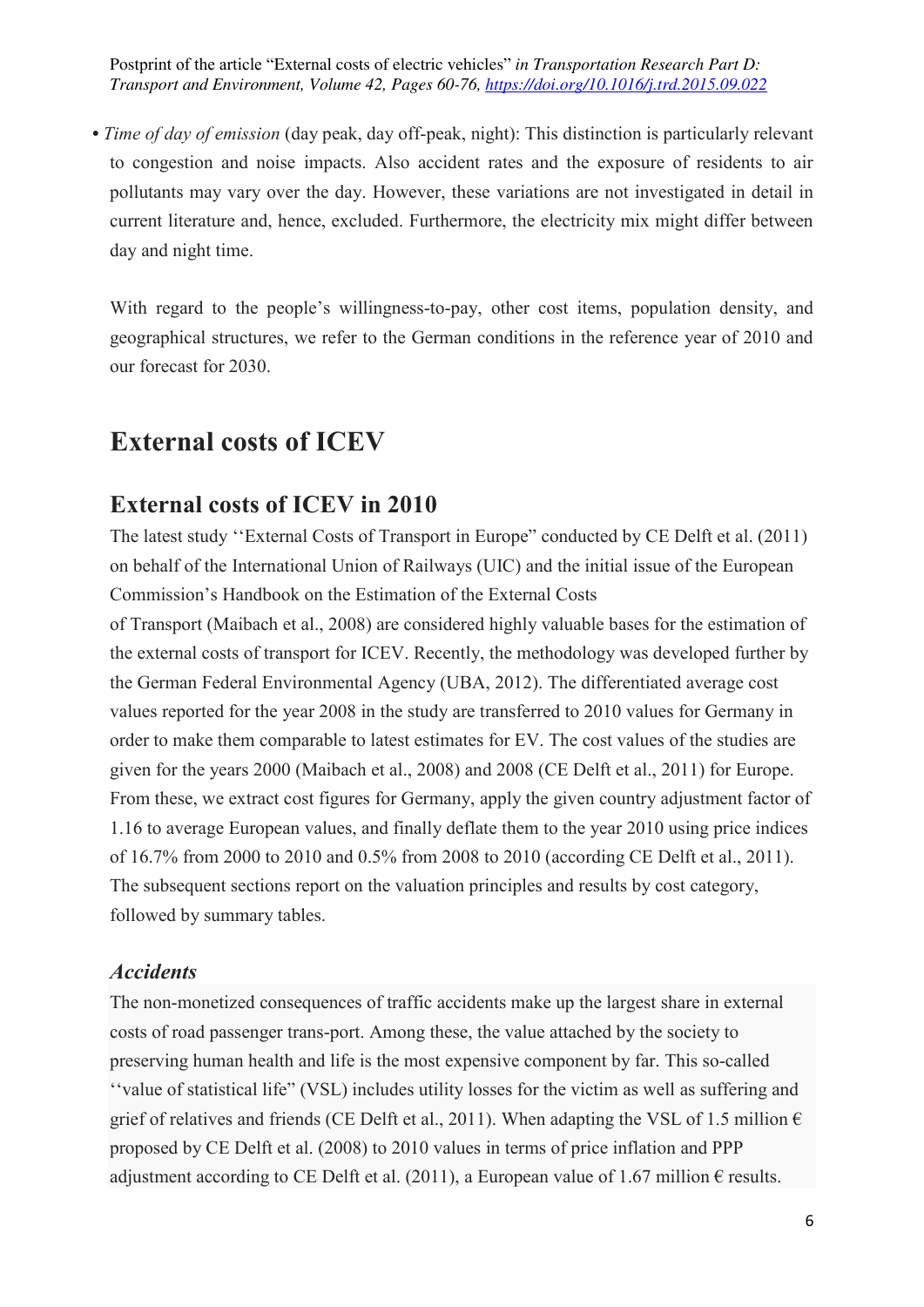**•** *Time of day of emission* (day peak, day off-peak, night): This distinction is particularly relevant to congestion and noise impacts. Also accident rates and the exposure of residents to air pollutants may vary over the day. However, these variations are not investigated in detail in current literature and, hence, excluded. Furthermore, the electricity mix might differ between day and night time.

With regard to the people's willingness-to-pay, other cost items, population density, and geographical structures, we refer to the German conditions in the reference year of 2010 and our forecast for 2030.

# **External costs of ICEV**

#### **External costs of ICEV in 2010**

The latest study ''External Costs of Transport in Europe" conducted by CE Delft et al. (2011) on behalf of the International Union of Railways (UIC) and the initial issue of the European Commission's Handbook on the Estimation of the External Costs

of Transport (Maibach et al., 2008) are considered highly valuable bases for the estimation of the external costs of transport for ICEV. Recently, the methodology was developed further by the German Federal Environmental Agency (UBA, 2012). The differentiated average cost values reported for the year 2008 in the study are transferred to 2010 values for Germany in order to make them comparable to latest estimates for EV. The cost values of the studies are given for the years 2000 (Maibach et al., 2008) and 2008 (CE Delft et al., 2011) for Europe. From these, we extract cost figures for Germany, apply the given country adjustment factor of 1.16 to average European values, and finally deflate them to the year 2010 using price indices of 16.7% from 2000 to 2010 and 0.5% from 2008 to 2010 (according CE Delft et al., 2011). The subsequent sections report on the valuation principles and results by cost category, followed by summary tables.

#### *Accidents*

The non-monetized consequences of traffic accidents make up the largest share in external costs of road passenger trans-port. Among these, the value attached by the society to preserving human health and life is the most expensive component by far. This so-called ''value of statistical life" (VSL) includes utility losses for the victim as well as suffering and grief of relatives and friends (CE Delft et al., 2011). When adapting the VSL of 1.5 million  $\epsilon$ proposed by CE Delft et al. (2008) to 2010 values in terms of price inflation and PPP adjustment according to CE Delft et al. (2011), a European value of 1.67 million  $\epsilon$  results.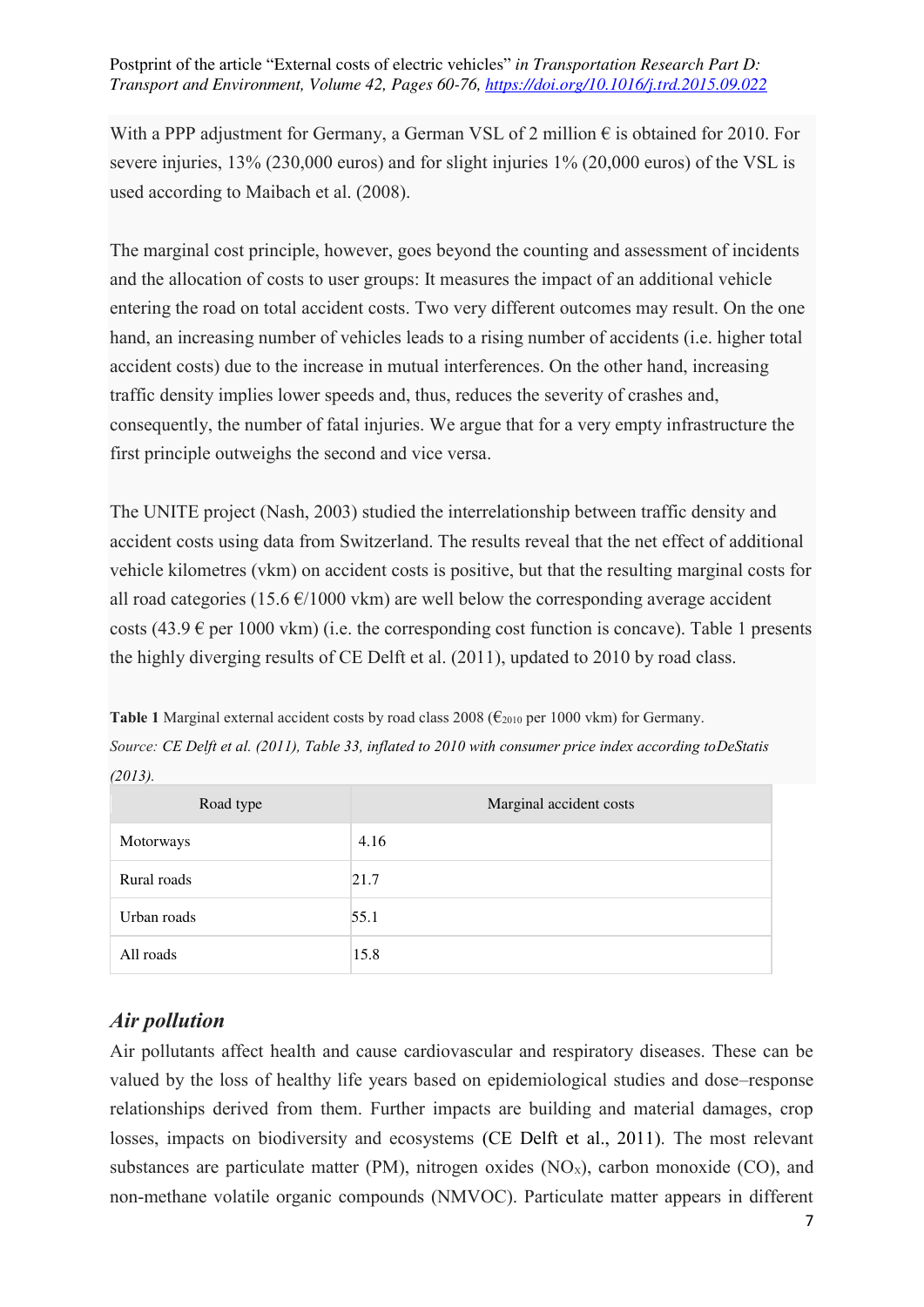With a PPP adjustment for Germany, a German VSL of 2 million  $\epsilon$  is obtained for 2010. For severe injuries, 13% (230,000 euros) and for slight injuries 1% (20,000 euros) of the VSL is used according to Maibach et al. (2008).

The marginal cost principle, however, goes beyond the counting and assessment of incidents and the allocation of costs to user groups: It measures the impact of an additional vehicle entering the road on total accident costs. Two very different outcomes may result. On the one hand, an increasing number of vehicles leads to a rising number of accidents (i.e. higher total accident costs) due to the increase in mutual interferences. On the other hand, increasing traffic density implies lower speeds and, thus, reduces the severity of crashes and, consequently, the number of fatal injuries. We argue that for a very empty infrastructure the first principle outweighs the second and vice versa.

The UNITE project (Nash, 2003) studied the interrelationship between traffic density and accident costs using data from Switzerland. The results reveal that the net effect of additional vehicle kilometres (vkm) on accident costs is positive, but that the resulting marginal costs for all road categories (15.6  $\epsilon$ /1000 vkm) are well below the corresponding average accident costs (43.9  $\epsilon$  per 1000 vkm) (i.e. the corresponding cost function is concave). Table 1 presents the highly diverging results of CE Delft et al. (2011), updated to 2010 by road class.

Table 1 Marginal external accident costs by road class 2008 ( $\epsilon_{2010}$  per 1000 vkm) for Germany. *Source: CE Delft et al. (2011), Table 33, inflated to 2010 with consumer price index according toDeStatis (2013).* 

| Road type   | Marginal accident costs |
|-------------|-------------------------|
| Motorways   | 4.16                    |
| Rural roads | 21.7                    |
| Urban roads | 55.1                    |
| All roads   | 15.8                    |

#### *Air pollution*

Air pollutants affect health and cause cardiovascular and respiratory diseases. These can be valued by the loss of healthy life years based on epidemiological studies and dose–response relationships derived from them. Further impacts are building and material damages, crop losses, impacts on biodiversity and ecosystems (CE Delft et al., 2011). The most relevant substances are particulate matter (PM), nitrogen oxides  $(NO<sub>x</sub>)$ , carbon monoxide (CO), and non-methane volatile organic compounds (NMVOC). Particulate matter appears in different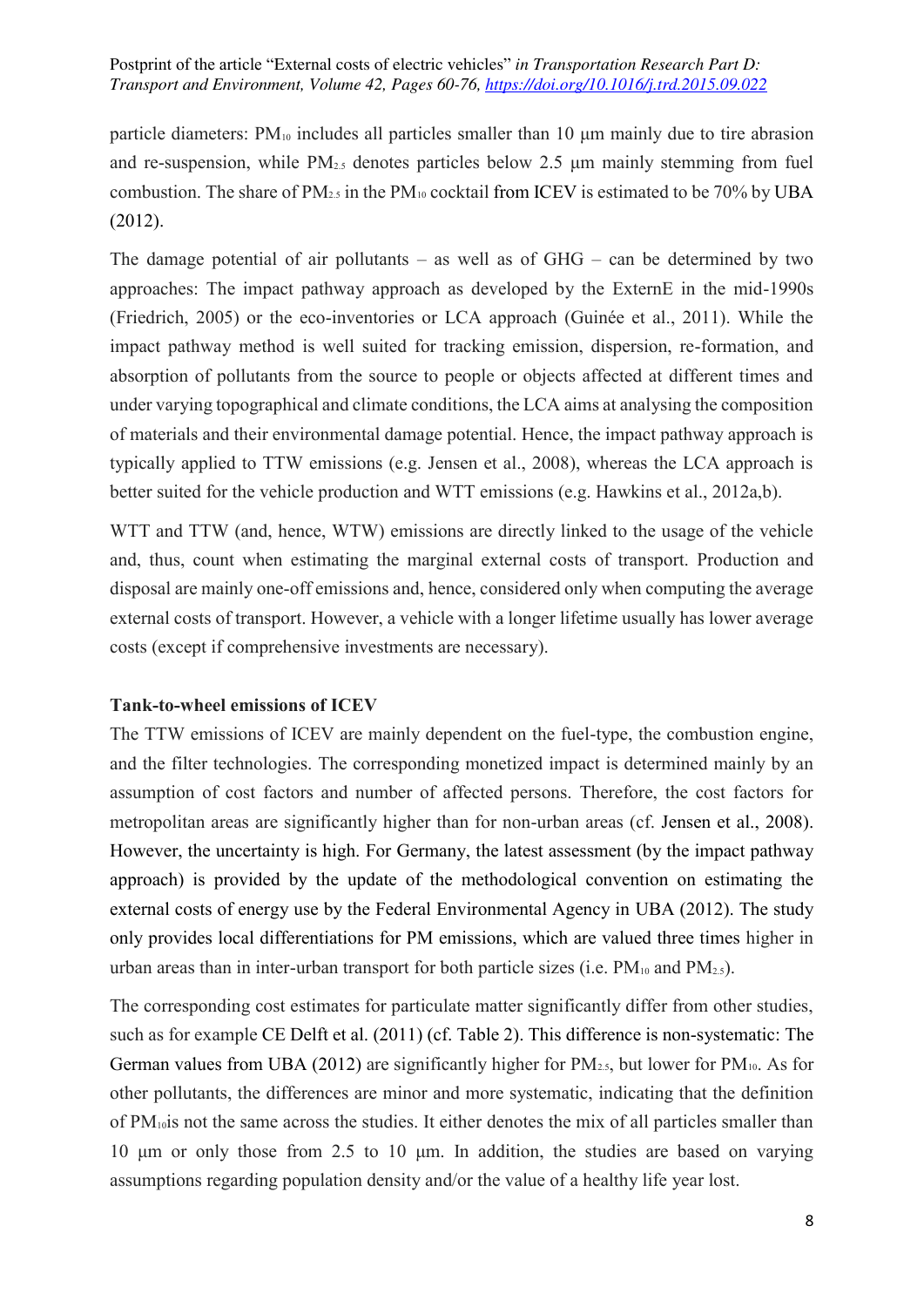particle diameters:  $PM_{10}$  includes all particles smaller than 10  $\mu$ m mainly due to tire abrasion and re-suspension, while  $PM_{2.5}$  denotes particles below 2.5  $\mu$ m mainly stemming from fuel combustion. The share of  $PM_{2.5}$  in the  $PM_{10}$  cocktail from ICEV is estimated to be 70% by UBA (2012).

The damage potential of air pollutants – as well as of  $GHG$  – can be determined by two approaches: The impact pathway approach as developed by the ExternE in the mid-1990s (Friedrich, 2005) or the eco-inventories or LCA approach (Guinée et al., 2011). While the impact pathway method is well suited for tracking emission, dispersion, re-formation, and absorption of pollutants from the source to people or objects affected at different times and under varying topographical and climate conditions, the LCA aims at analysing the composition of materials and their environmental damage potential. Hence, the impact pathway approach is typically applied to TTW emissions (e.g. Jensen et al., 2008), whereas the LCA approach is better suited for the vehicle production and WTT emissions (e.g. Hawkins et al., 2012a,b).

WTT and TTW (and, hence, WTW) emissions are directly linked to the usage of the vehicle and, thus, count when estimating the marginal external costs of transport. Production and disposal are mainly one-off emissions and, hence, considered only when computing the average external costs of transport. However, a vehicle with a longer lifetime usually has lower average costs (except if comprehensive investments are necessary).

#### **Tank-to-wheel emissions of ICEV**

The TTW emissions of ICEV are mainly dependent on the fuel-type, the combustion engine, and the filter technologies. The corresponding monetized impact is determined mainly by an assumption of cost factors and number of affected persons. Therefore, the cost factors for metropolitan areas are significantly higher than for non-urban areas (cf. Jensen et al., 2008). However, the uncertainty is high. For Germany, the latest assessment (by the impact pathway approach) is provided by the update of the methodological convention on estimating the external costs of energy use by the Federal Environmental Agency in UBA (2012). The study only provides local differentiations for PM emissions, which are valued three times higher in urban areas than in inter-urban transport for both particle sizes (i.e.  $PM_{10}$  and  $PM_{2.5}$ ).

The corresponding cost estimates for particulate matter significantly differ from other studies, such as for example CE Delft et al. (2011) (cf. Table 2). This difference is non-systematic: The German values from UBA (2012) are significantly higher for  $PM_{2.5}$ , but lower for  $PM_{10}$ . As for other pollutants, the differences are minor and more systematic, indicating that the definition of PM10is not the same across the studies. It either denotes the mix of all particles smaller than 10 μm or only those from 2.5 to 10 μm. In addition, the studies are based on varying assumptions regarding population density and/or the value of a healthy life year lost.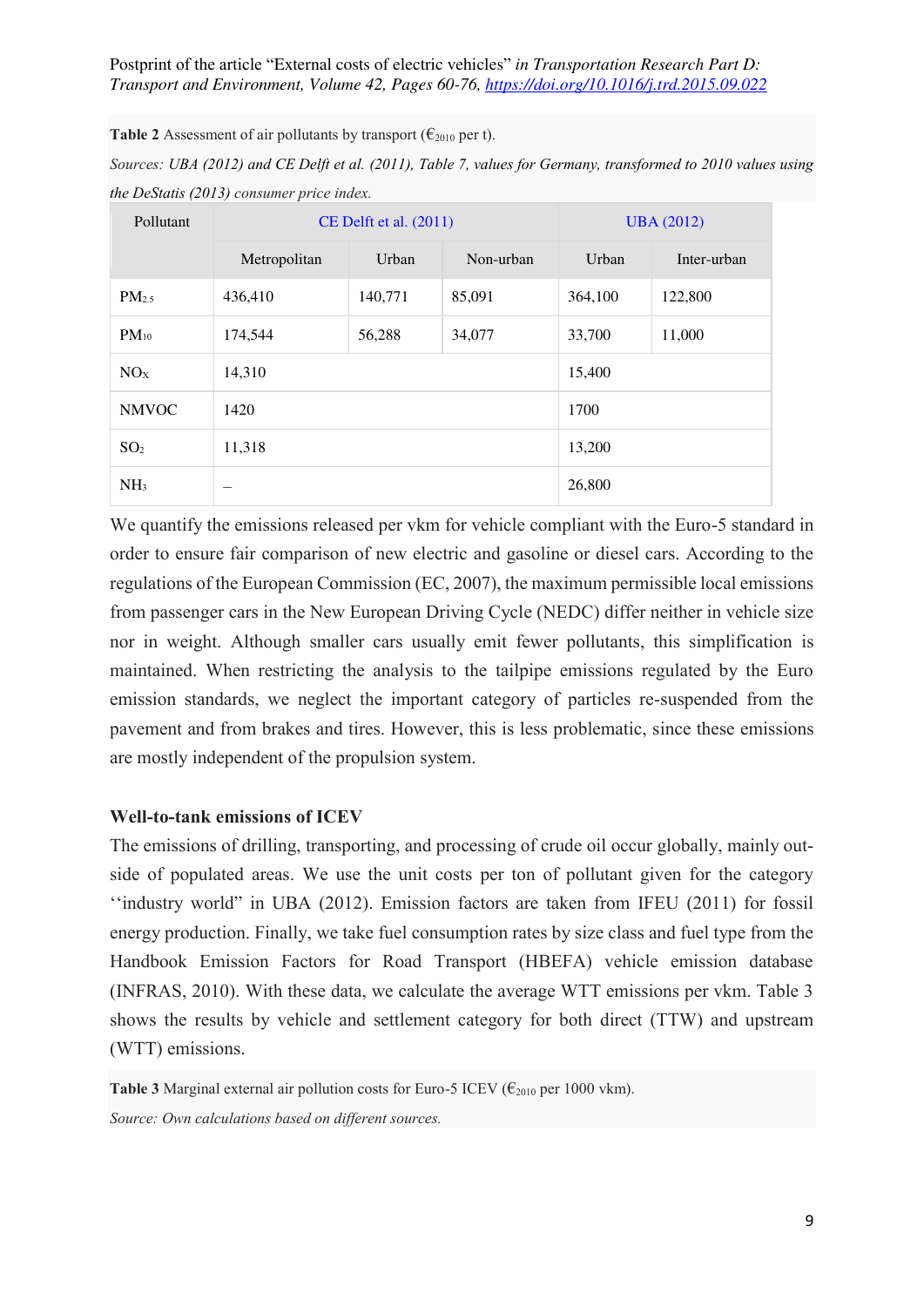**Table 2** Assessment of air pollutants by transport ( $\epsilon_{2010}$  per t).

*Sources: UBA (2012) and CE Delft et al. (2011), Table 7, values for Germany, transformed to 2010 values using the DeStatis (2013) consumer price index.* 

| Pollutant       | $CE$ Delft et al. $(2011)$ |         |           |         | <b>UBA</b> (2012) |
|-----------------|----------------------------|---------|-----------|---------|-------------------|
|                 | Metropolitan               | Urban   | Non-urban | Urban   | Inter-urban       |
| $PM_{2.5}$      | 436,410                    | 140,771 | 85,091    | 364,100 | 122,800           |
| $PM_{10}$       | 174,544                    | 56,288  | 34,077    | 33,700  | 11,000            |
| NOx             | 14,310                     |         |           | 15,400  |                   |
| <b>NMVOC</b>    | 1420                       |         |           | 1700    |                   |
| SO <sub>2</sub> | 11,318                     |         |           | 13,200  |                   |
| NH <sub>3</sub> |                            |         |           | 26,800  |                   |

We quantify the emissions released per vkm for vehicle compliant with the Euro-5 standard in order to ensure fair comparison of new electric and gasoline or diesel cars. According to the regulations of the European Commission (EC, 2007), the maximum permissible local emissions from passenger cars in the New European Driving Cycle (NEDC) differ neither in vehicle size nor in weight. Although smaller cars usually emit fewer pollutants, this simplification is maintained. When restricting the analysis to the tailpipe emissions regulated by the Euro emission standards, we neglect the important category of particles re-suspended from the pavement and from brakes and tires. However, this is less problematic, since these emissions are mostly independent of the propulsion system.

#### **Well-to-tank emissions of ICEV**

The emissions of drilling, transporting, and processing of crude oil occur globally, mainly outside of populated areas. We use the unit costs per ton of pollutant given for the category ''industry world" in UBA (2012). Emission factors are taken from IFEU (2011) for fossil energy production. Finally, we take fuel consumption rates by size class and fuel type from the Handbook Emission Factors for Road Transport (HBEFA) vehicle emission database (INFRAS, 2010). With these data, we calculate the average WTT emissions per vkm. Table 3 shows the results by vehicle and settlement category for both direct (TTW) and upstream (WTT) emissions.

**Table 3** Marginal external air pollution costs for Euro-5 ICEV ( $\epsilon_{2010}$  per 1000 vkm). *Source: Own calculations based on different sources.*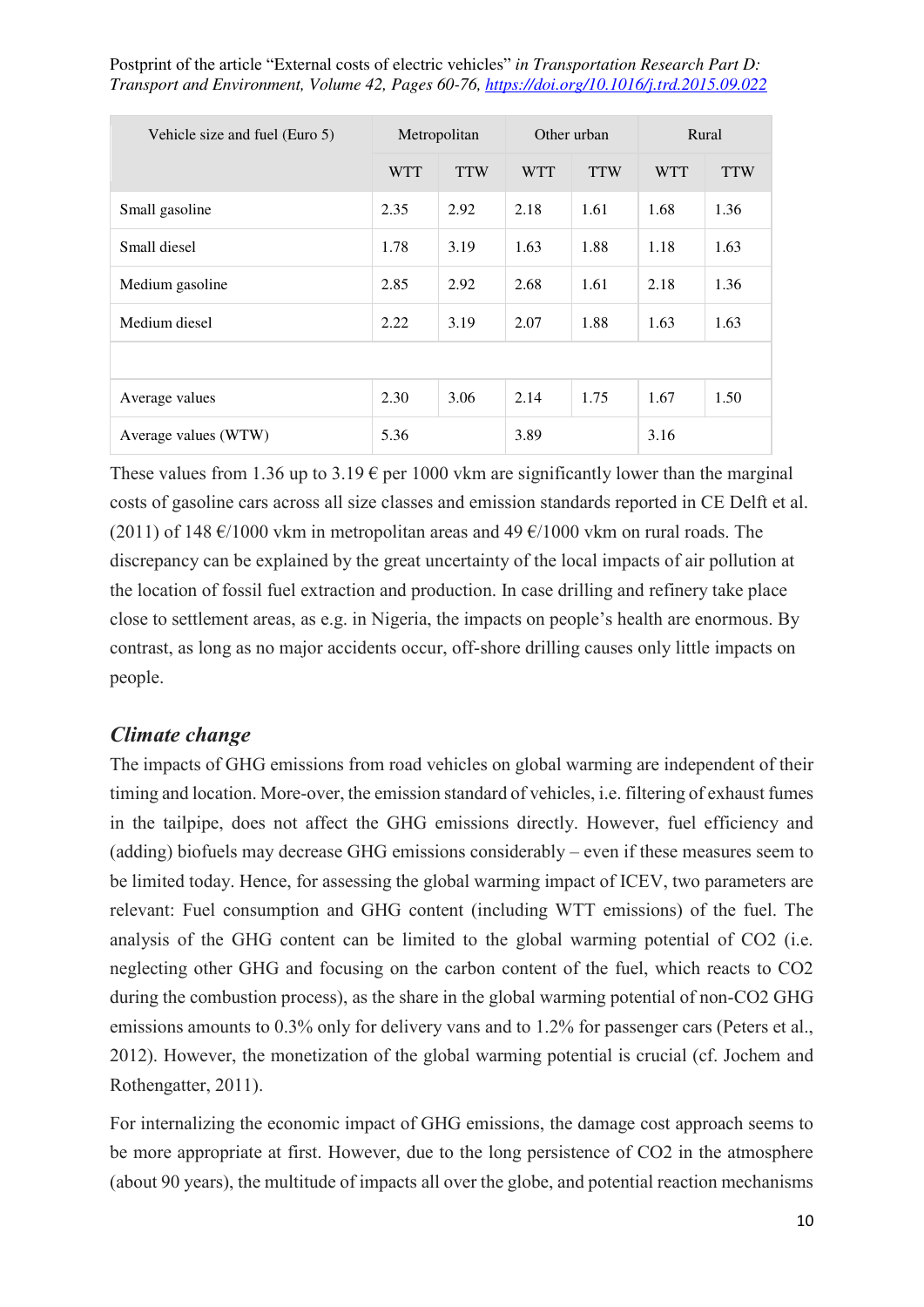| Vehicle size and fuel (Euro 5) | Metropolitan |            | Other urban |            | Rural      |            |
|--------------------------------|--------------|------------|-------------|------------|------------|------------|
|                                | <b>WTT</b>   | <b>TTW</b> | <b>WTT</b>  | <b>TTW</b> | <b>WTT</b> | <b>TTW</b> |
| Small gasoline                 | 2.35         | 2.92       | 2.18        | 1.61       | 1.68       | 1.36       |
| Small diesel                   | 1.78         | 3.19       | 1.63        | 1.88       | 1.18       | 1.63       |
| Medium gasoline                | 2.85         | 2.92       | 2.68        | 1.61       | 2.18       | 1.36       |
| Medium diesel                  | 2.22         | 3.19       | 2.07        | 1.88       | 1.63       | 1.63       |
|                                |              |            |             |            |            |            |
| Average values                 | 2.30         | 3.06       | 2.14        | 1.75       | 1.67       | 1.50       |
| Average values (WTW)           | 5.36         |            | 3.89        |            | 3.16       |            |

These values from 1.36 up to 3.19  $\epsilon$  per 1000 vkm are significantly lower than the marginal costs of gasoline cars across all size classes and emission standards reported in CE Delft et al. (2011) of 148  $\epsilon$ /1000 vkm in metropolitan areas and 49  $\epsilon$ /1000 vkm on rural roads. The discrepancy can be explained by the great uncertainty of the local impacts of air pollution at the location of fossil fuel extraction and production. In case drilling and refinery take place close to settlement areas, as e.g. in Nigeria, the impacts on people's health are enormous. By contrast, as long as no major accidents occur, off-shore drilling causes only little impacts on people.

#### *Climate change*

The impacts of GHG emissions from road vehicles on global warming are independent of their timing and location. More-over, the emission standard of vehicles, i.e. filtering of exhaust fumes in the tailpipe, does not affect the GHG emissions directly. However, fuel efficiency and (adding) biofuels may decrease GHG emissions considerably – even if these measures seem to be limited today. Hence, for assessing the global warming impact of ICEV, two parameters are relevant: Fuel consumption and GHG content (including WTT emissions) of the fuel. The analysis of the GHG content can be limited to the global warming potential of CO2 (i.e. neglecting other GHG and focusing on the carbon content of the fuel, which reacts to CO2 during the combustion process), as the share in the global warming potential of non-CO2 GHG emissions amounts to 0.3% only for delivery vans and to 1.2% for passenger cars (Peters et al., 2012). However, the monetization of the global warming potential is crucial (cf. Jochem and Rothengatter, 2011).

For internalizing the economic impact of GHG emissions, the damage cost approach seems to be more appropriate at first. However, due to the long persistence of CO2 in the atmosphere (about 90 years), the multitude of impacts all over the globe, and potential reaction mechanisms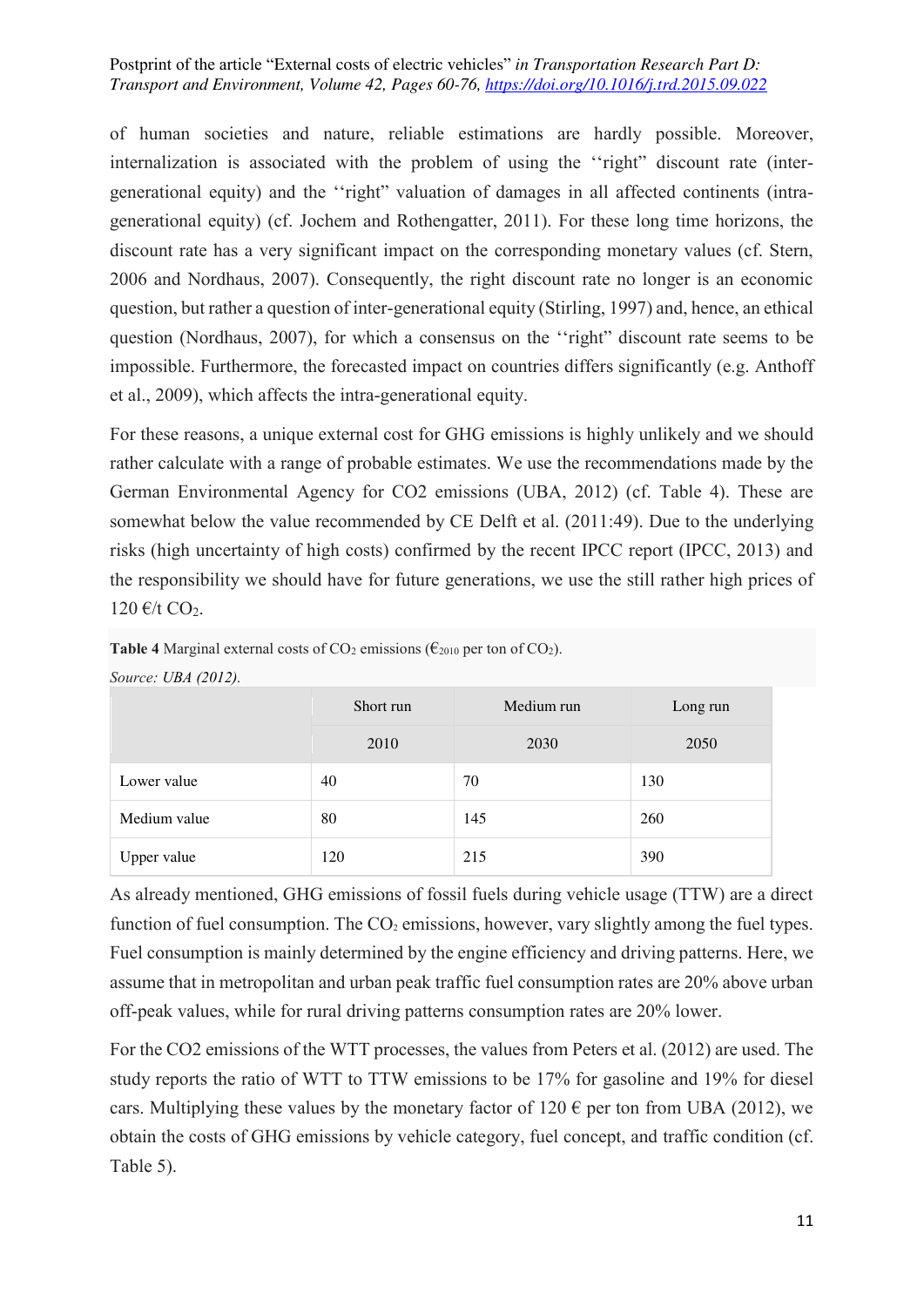of human societies and nature, reliable estimations are hardly possible. Moreover, internalization is associated with the problem of using the ''right" discount rate (intergenerational equity) and the ''right" valuation of damages in all affected continents (intragenerational equity) (cf. Jochem and Rothengatter, 2011). For these long time horizons, the discount rate has a very significant impact on the corresponding monetary values (cf. Stern, 2006 and Nordhaus, 2007). Consequently, the right discount rate no longer is an economic question, but rather a question of inter-generational equity (Stirling, 1997) and, hence, an ethical question (Nordhaus, 2007), for which a consensus on the ''right" discount rate seems to be impossible. Furthermore, the forecasted impact on countries differs significantly (e.g. Anthoff et al., 2009), which affects the intra-generational equity.

For these reasons, a unique external cost for GHG emissions is highly unlikely and we should rather calculate with a range of probable estimates. We use the recommendations made by the German Environmental Agency for CO2 emissions (UBA, 2012) (cf. Table 4). These are somewhat below the value recommended by CE Delft et al. (2011:49). Due to the underlying risks (high uncertainty of high costs) confirmed by the recent IPCC report (IPCC, 2013) and the responsibility we should have for future generations, we use the still rather high prices of  $120 \text{ } \infty$  CO<sub>2</sub>.

|              | Short run | Medium run | Long run |
|--------------|-----------|------------|----------|
|              | 2010      | 2030       | 2050     |
| Lower value  | 40        | 70         | 130      |
| Medium value | 80        | 145        | 260      |
| Upper value  | 120       | 215        | 390      |

**Table 4** Marginal external costs of  $CO_2$  emissions ( $\epsilon_{2010}$  per ton of  $CO_2$ ).

*Source: UBA (2012).*

As already mentioned, GHG emissions of fossil fuels during vehicle usage (TTW) are a direct function of fuel consumption. The  $CO<sub>2</sub>$  emissions, however, vary slightly among the fuel types. Fuel consumption is mainly determined by the engine efficiency and driving patterns. Here, we assume that in metropolitan and urban peak traffic fuel consumption rates are 20% above urban off-peak values, while for rural driving patterns consumption rates are 20% lower.

For the CO2 emissions of the WTT processes, the values from Peters et al. (2012) are used. The study reports the ratio of WTT to TTW emissions to be 17% for gasoline and 19% for diesel cars. Multiplying these values by the monetary factor of  $120 \epsilon$  per ton from UBA (2012), we obtain the costs of GHG emissions by vehicle category, fuel concept, and traffic condition (cf. Table 5).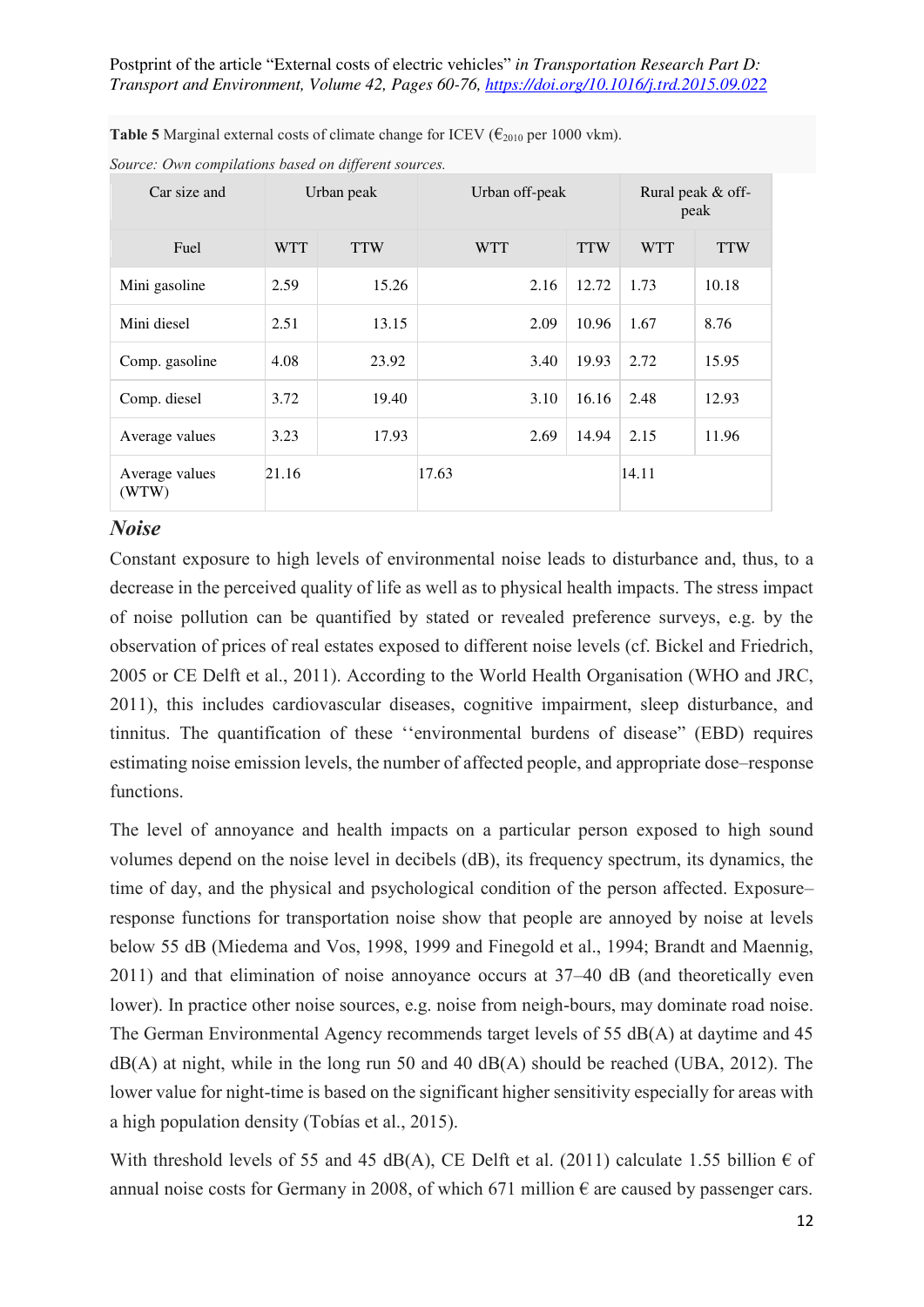| Car size and            | Urban peak |            | Urban off-peak |            |            |            | Rural peak & off-<br>peak |  |
|-------------------------|------------|------------|----------------|------------|------------|------------|---------------------------|--|
| Fuel                    | <b>WTT</b> | <b>TTW</b> | <b>WTT</b>     | <b>TTW</b> | <b>WTT</b> | <b>TTW</b> |                           |  |
| Mini gasoline           | 2.59       | 15.26      | 2.16           | 12.72      | 1.73       | 10.18      |                           |  |
| Mini diesel             | 2.51       | 13.15      | 2.09           | 10.96      | 1.67       | 8.76       |                           |  |
| Comp. gasoline          | 4.08       | 23.92      | 3.40           | 19.93      | 2.72       | 15.95      |                           |  |
| Comp. diesel            | 3.72       | 19.40      | 3.10           | 16.16      | 2.48       | 12.93      |                           |  |
| Average values          | 3.23       | 17.93      | 2.69           | 14.94      | 2.15       | 11.96      |                           |  |
| Average values<br>(WTW) | 21.16      |            | 17.63          |            | 14.11      |            |                           |  |

**Table 5** Marginal external costs of climate change for ICEV ( $\epsilon_{2010}$  per 1000 vkm).

|  | Source: Own compilations based on different sources. |  |  |
|--|------------------------------------------------------|--|--|
|  |                                                      |  |  |

#### *Noise*

Constant exposure to high levels of environmental noise leads to disturbance and, thus, to a decrease in the perceived quality of life as well as to physical health impacts. The stress impact of noise pollution can be quantified by stated or revealed preference surveys, e.g. by the observation of prices of real estates exposed to different noise levels (cf. Bickel and Friedrich, 2005 or CE Delft et al., 2011). According to the World Health Organisation (WHO and JRC, 2011), this includes cardiovascular diseases, cognitive impairment, sleep disturbance, and tinnitus. The quantification of these ''environmental burdens of disease" (EBD) requires estimating noise emission levels, the number of affected people, and appropriate dose–response functions.

The level of annoyance and health impacts on a particular person exposed to high sound volumes depend on the noise level in decibels (dB), its frequency spectrum, its dynamics, the time of day, and the physical and psychological condition of the person affected. Exposure– response functions for transportation noise show that people are annoyed by noise at levels below 55 dB (Miedema and Vos, 1998, 1999 and Finegold et al., 1994; Brandt and Maennig, 2011) and that elimination of noise annoyance occurs at 37–40 dB (and theoretically even lower). In practice other noise sources, e.g. noise from neigh-bours, may dominate road noise. The German Environmental Agency recommends target levels of 55 dB(A) at daytime and 45 dB(A) at night, while in the long run 50 and 40 dB(A) should be reached (UBA, 2012). The lower value for night-time is based on the significant higher sensitivity especially for areas with a high population density (Tobías et al., 2015).

With threshold levels of 55 and 45 dB(A), CE Delft et al. (2011) calculate 1.55 billion  $\epsilon$  of annual noise costs for Germany in 2008, of which 671 million  $\epsilon$  are caused by passenger cars.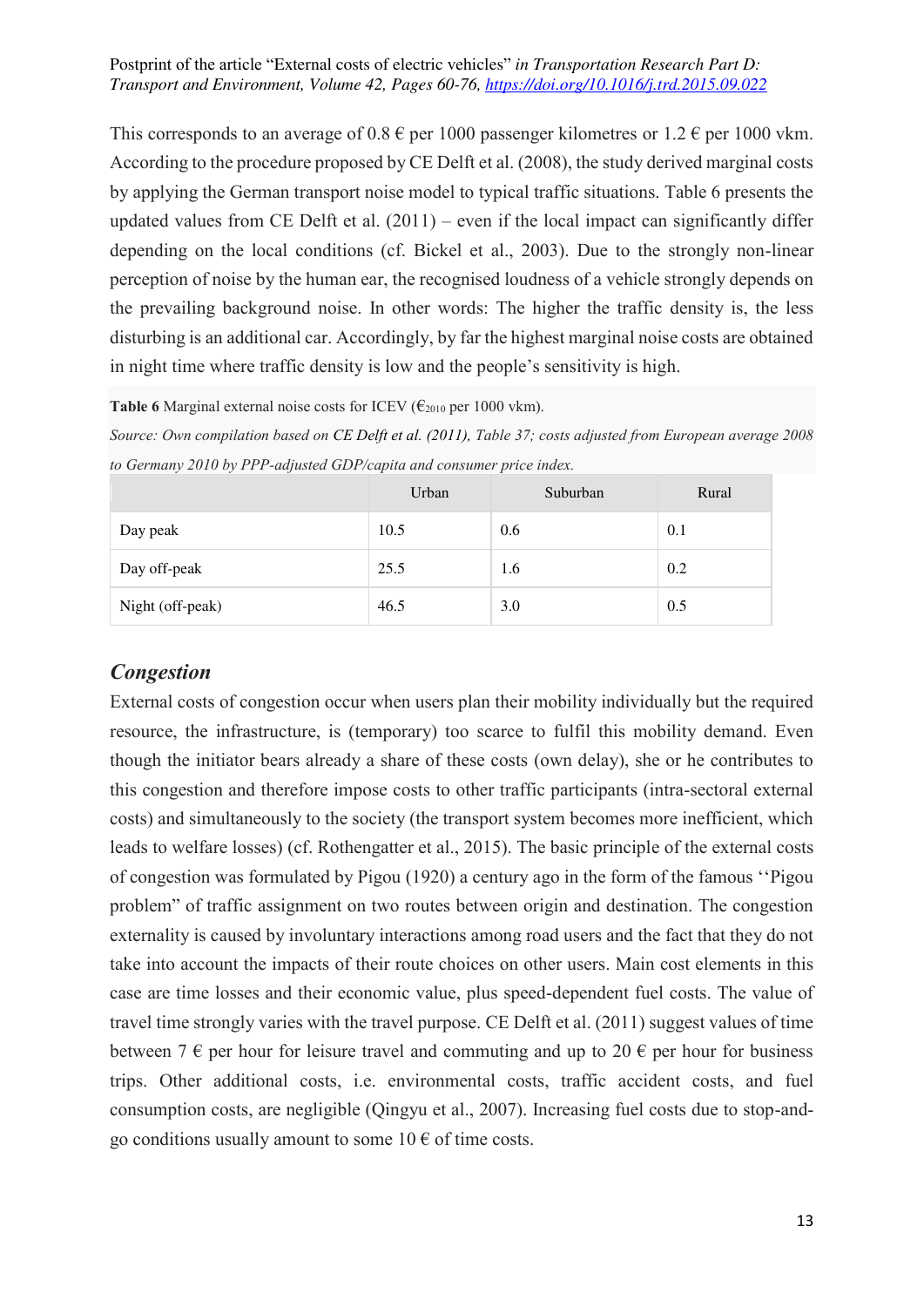This corresponds to an average of  $0.8 \in$  per 1000 passenger kilometres or 1.2  $\in$  per 1000 vkm. According to the procedure proposed by CE Delft et al. (2008), the study derived marginal costs by applying the German transport noise model to typical traffic situations. Table 6 presents the updated values from CE Delft et al.  $(2011)$  – even if the local impact can significantly differ depending on the local conditions (cf. Bickel et al., 2003). Due to the strongly non-linear perception of noise by the human ear, the recognised loudness of a vehicle strongly depends on the prevailing background noise. In other words: The higher the traffic density is, the less disturbing is an additional car. Accordingly, by far the highest marginal noise costs are obtained in night time where traffic density is low and the people's sensitivity is high.

**Table 6** Marginal external noise costs for ICEV ( $\epsilon_{2010}$  per 1000 vkm).

*Source: Own compilation based on CE Delft et al. (2011), Table 37; costs adjusted from European average 2008 to Germany 2010 by PPP-adjusted GDP/capita and consumer price index.* 

|                  | Urban | Suburban | Rural |
|------------------|-------|----------|-------|
| Day peak         | 10.5  | 0.6      | 0.1   |
| Day off-peak     | 25.5  | 1.6      | 0.2   |
| Night (off-peak) | 46.5  | 3.0      | 0.5   |

#### *Congestion*

External costs of congestion occur when users plan their mobility individually but the required resource, the infrastructure, is (temporary) too scarce to fulfil this mobility demand. Even though the initiator bears already a share of these costs (own delay), she or he contributes to this congestion and therefore impose costs to other traffic participants (intra-sectoral external costs) and simultaneously to the society (the transport system becomes more inefficient, which leads to welfare losses) (cf. Rothengatter et al., 2015). The basic principle of the external costs of congestion was formulated by Pigou (1920) a century ago in the form of the famous ''Pigou problem" of traffic assignment on two routes between origin and destination. The congestion externality is caused by involuntary interactions among road users and the fact that they do not take into account the impacts of their route choices on other users. Main cost elements in this case are time losses and their economic value, plus speed-dependent fuel costs. The value of travel time strongly varies with the travel purpose. CE Delft et al. (2011) suggest values of time between 7  $\epsilon$  per hour for leisure travel and commuting and up to 20  $\epsilon$  per hour for business trips. Other additional costs, i.e. environmental costs, traffic accident costs, and fuel consumption costs, are negligible (Qingyu et al., 2007). Increasing fuel costs due to stop-andgo conditions usually amount to some  $10 \in \text{of time costs.}$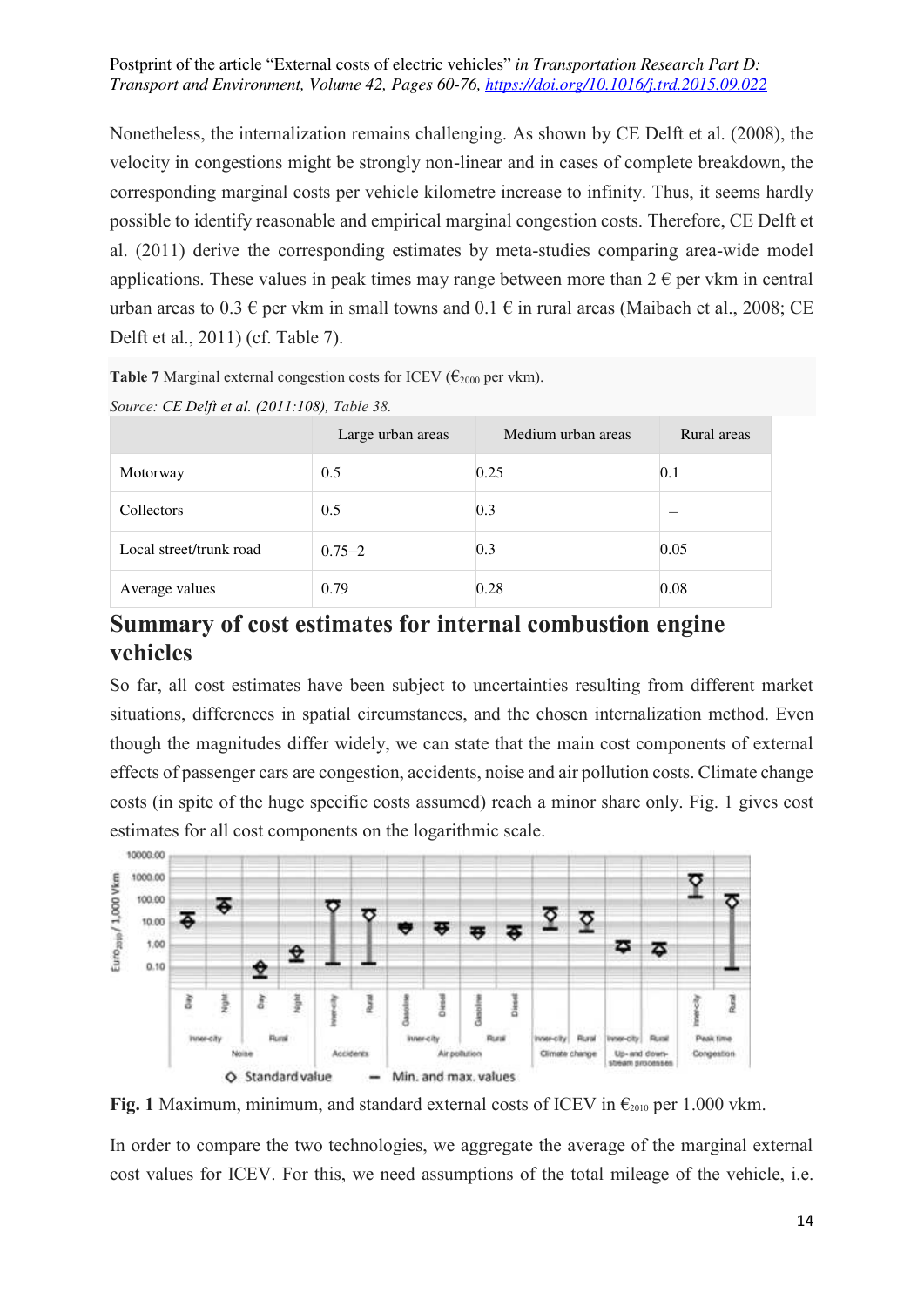Nonetheless, the internalization remains challenging. As shown by CE Delft et al. (2008), the velocity in congestions might be strongly non-linear and in cases of complete breakdown, the corresponding marginal costs per vehicle kilometre increase to infinity. Thus, it seems hardly possible to identify reasonable and empirical marginal congestion costs. Therefore, CE Delft et al. (2011) derive the corresponding estimates by meta-studies comparing area-wide model applications. These values in peak times may range between more than  $2 \epsilon$  per vkm in central urban areas to  $0.3 \in$  per vkm in small towns and  $0.1 \in$  in rural areas (Maibach et al., 2008; CE Delft et al., 2011) (cf. Table 7).

**Table 7** Marginal external congestion costs for ICEV ( $\epsilon_{2000}$  per vkm).

*Source: CE Delft et al. (2011:108), Table 38.* 

|                         | Large urban areas | Medium urban areas | Rural areas |
|-------------------------|-------------------|--------------------|-------------|
| Motorway                | 0.5               | 0.25               | 0.1         |
| Collectors              | 0.5               | 0.3                |             |
| Local street/trunk road | $0.75 - 2$        | 0.3                | 0.05        |
| Average values          | 0.79              | 0.28               | 0.08        |

## **Summary of cost estimates for internal combustion engine vehicles**

So far, all cost estimates have been subject to uncertainties resulting from different market situations, differences in spatial circumstances, and the chosen internalization method. Even though the magnitudes differ widely, we can state that the main cost components of external effects of passenger cars are congestion, accidents, noise and air pollution costs. Climate change costs (in spite of the huge specific costs assumed) reach a minor share only. Fig. 1 gives cost estimates for all cost components on the logarithmic scale.



**Fig. 1** Maximum, minimum, and standard external costs of ICEV in  $\epsilon_{2010}$  per 1.000 vkm.

In order to compare the two technologies, we aggregate the average of the marginal external cost values for ICEV. For this, we need assumptions of the total mileage of the vehicle, i.e.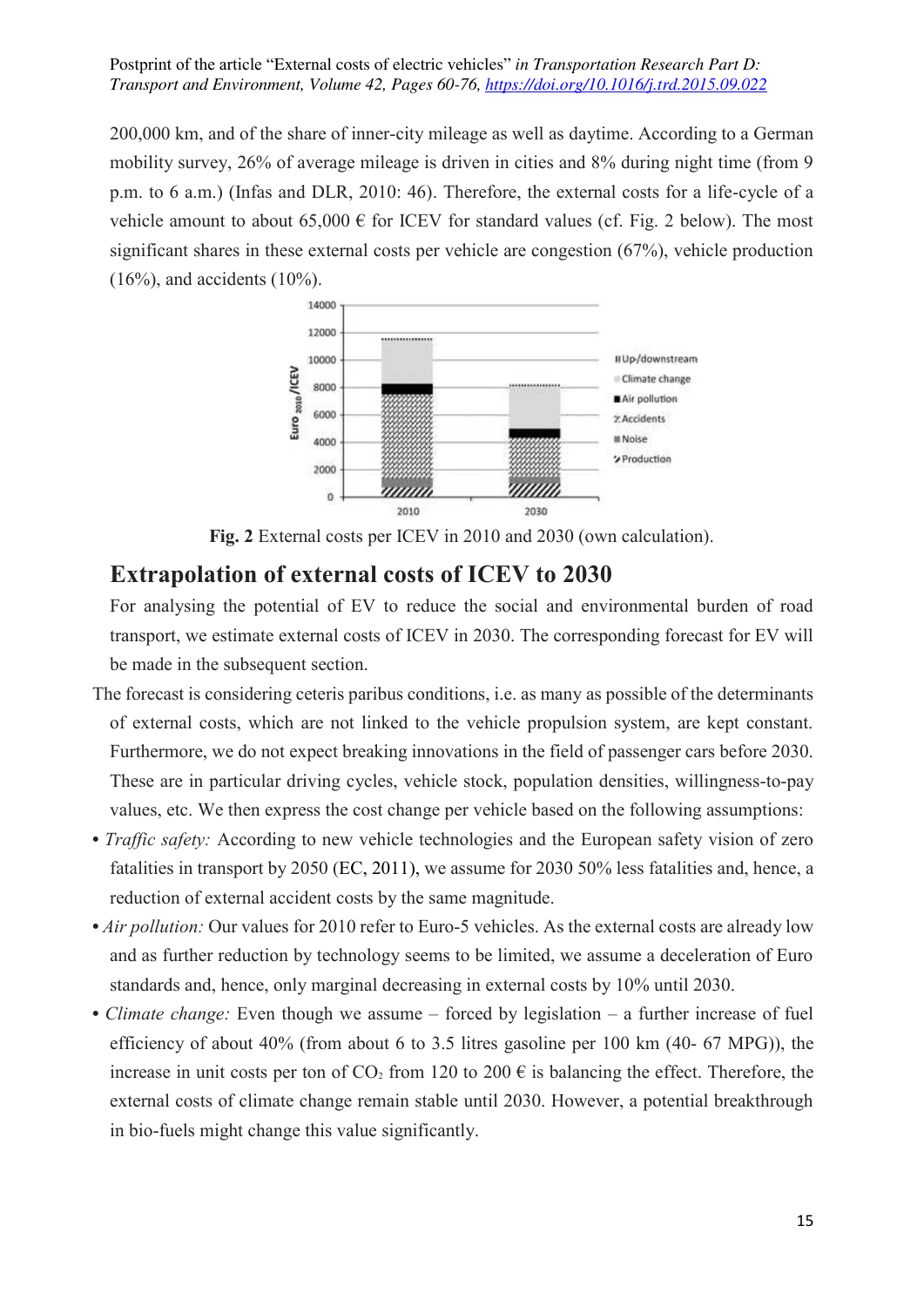200,000 km, and of the share of inner-city mileage as well as daytime. According to a German mobility survey, 26% of average mileage is driven in cities and 8% during night time (from 9 p.m. to 6 a.m.) (Infas and DLR, 2010: 46). Therefore, the external costs for a life-cycle of a vehicle amount to about 65,000  $\epsilon$  for ICEV for standard values (cf. Fig. 2 below). The most significant shares in these external costs per vehicle are congestion (67%), vehicle production  $(16%)$ , and accidents  $(10%)$ .



**Fig. 2** External costs per ICEV in 2010 and 2030 (own calculation).

## **Extrapolation of external costs of ICEV to 2030**

For analysing the potential of EV to reduce the social and environmental burden of road transport, we estimate external costs of ICEV in 2030. The corresponding forecast for EV will be made in the subsequent section.

- The forecast is considering ceteris paribus conditions, i.e. as many as possible of the determinants of external costs, which are not linked to the vehicle propulsion system, are kept constant. Furthermore, we do not expect breaking innovations in the field of passenger cars before 2030. These are in particular driving cycles, vehicle stock, population densities, willingness-to-pay values, etc. We then express the cost change per vehicle based on the following assumptions:
- *Traffic safety:* According to new vehicle technologies and the European safety vision of zero fatalities in transport by 2050 (EC, 2011), we assume for 2030 50% less fatalities and, hence, a reduction of external accident costs by the same magnitude.
- *Air pollution:* Our values for 2010 refer to Euro-5 vehicles. As the external costs are already low and as further reduction by technology seems to be limited, we assume a deceleration of Euro standards and, hence, only marginal decreasing in external costs by 10% until 2030.
- **•** *Climate change:* Even though we assume forced by legislation a further increase of fuel efficiency of about 40% (from about 6 to 3.5 litres gasoline per 100 km (40- 67 MPG)), the increase in unit costs per ton of  $CO<sub>2</sub>$  from 120 to 200  $\epsilon$  is balancing the effect. Therefore, the external costs of climate change remain stable until 2030. However, a potential breakthrough in bio-fuels might change this value significantly.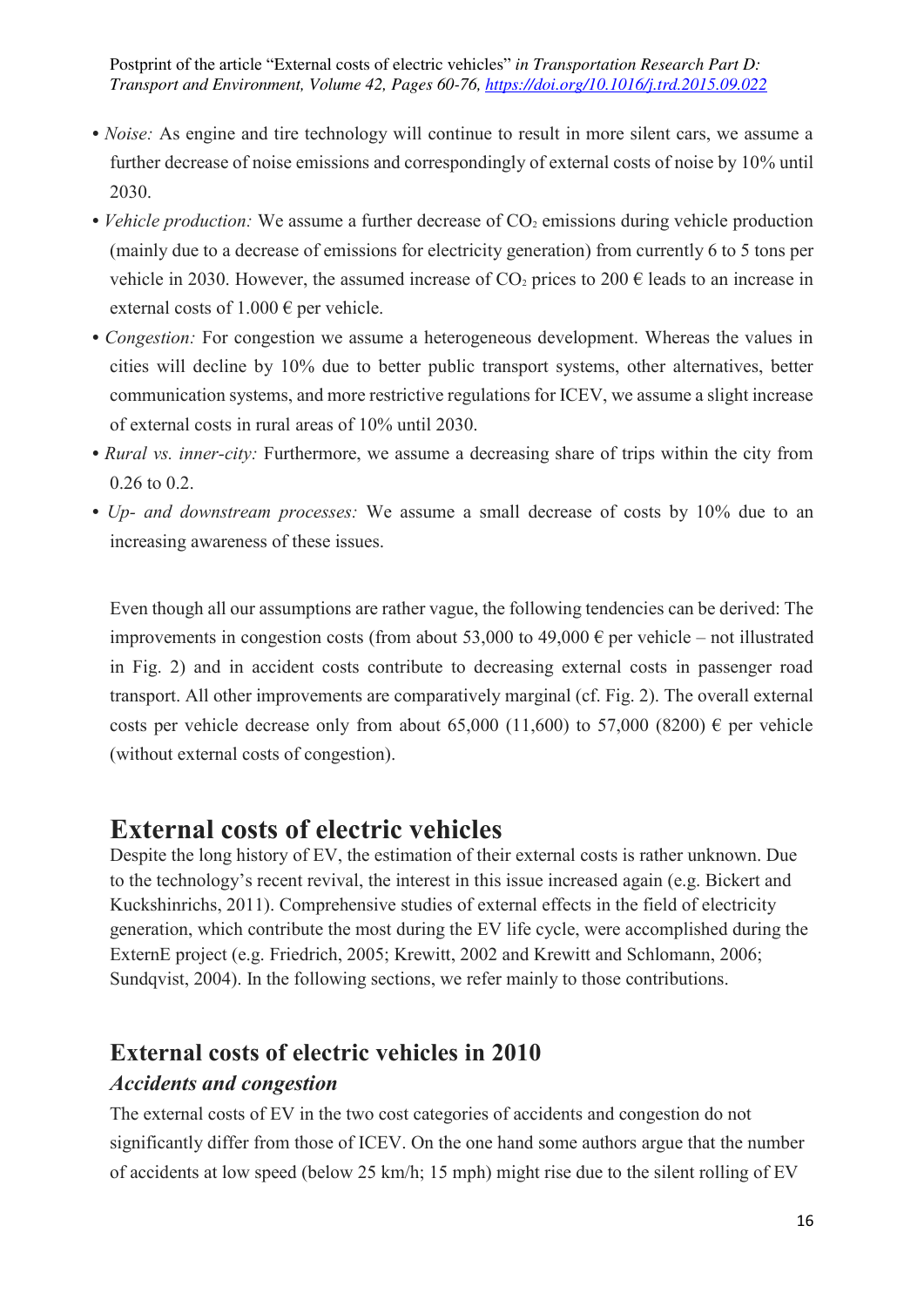- **•** *Noise:* As engine and tire technology will continue to result in more silent cars, we assume a further decrease of noise emissions and correspondingly of external costs of noise by 10% until 2030.
- *Vehicle production:* We assume a further decrease of  $CO<sub>2</sub>$  emissions during vehicle production (mainly due to a decrease of emissions for electricity generation) from currently 6 to 5 tons per vehicle in 2030. However, the assumed increase of  $CO<sub>2</sub>$  prices to 200  $\epsilon$  leads to an increase in external costs of  $1.000 \text{ } \in$  per vehicle.
- **•** *Congestion:* For congestion we assume a heterogeneous development. Whereas the values in cities will decline by 10% due to better public transport systems, other alternatives, better communication systems, and more restrictive regulations for ICEV, we assume a slight increase of external costs in rural areas of 10% until 2030.
- *Rural vs. inner-city:* Furthermore, we assume a decreasing share of trips within the city from 0.26 to 0.2.
- **•** *Up- and downstream processes:* We assume a small decrease of costs by 10% due to an increasing awareness of these issues.

Even though all our assumptions are rather vague, the following tendencies can be derived: The improvements in congestion costs (from about 53,000 to 49,000  $\epsilon$  per vehicle – not illustrated in Fig. 2) and in accident costs contribute to decreasing external costs in passenger road transport. All other improvements are comparatively marginal (cf. Fig. 2). The overall external costs per vehicle decrease only from about 65,000 (11,600) to 57,000 (8200)  $\epsilon$  per vehicle (without external costs of congestion).

## **External costs of electric vehicles**

Despite the long history of EV, the estimation of their external costs is rather unknown. Due to the technology's recent revival, the interest in this issue increased again (e.g. Bickert and Kuckshinrichs, 2011). Comprehensive studies of external effects in the field of electricity generation, which contribute the most during the EV life cycle, were accomplished during the ExternE project (e.g. Friedrich, 2005; Krewitt, 2002 and Krewitt and Schlomann, 2006; Sundqvist, 2004). In the following sections, we refer mainly to those contributions.

# **External costs of electric vehicles in 2010**

#### *Accidents and congestion*

The external costs of EV in the two cost categories of accidents and congestion do not significantly differ from those of ICEV. On the one hand some authors argue that the number of accidents at low speed (below 25 km/h; 15 mph) might rise due to the silent rolling of EV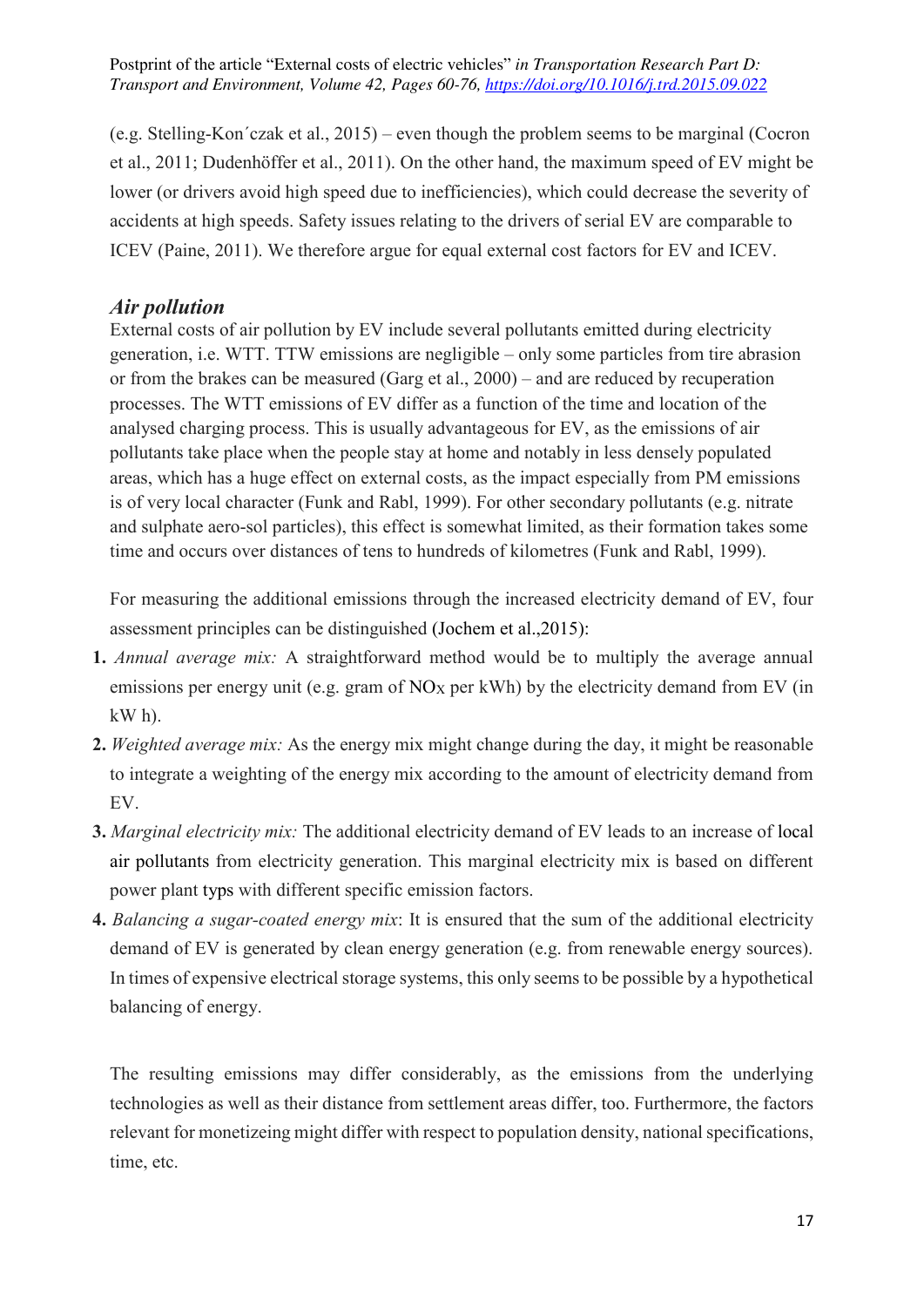(e.g. Stelling-Kon´czak et al., 2015) – even though the problem seems to be marginal (Cocron et al., 2011; Dudenhöffer et al., 2011). On the other hand, the maximum speed of EV might be lower (or drivers avoid high speed due to inefficiencies), which could decrease the severity of accidents at high speeds. Safety issues relating to the drivers of serial EV are comparable to ICEV (Paine, 2011). We therefore argue for equal external cost factors for EV and ICEV.

#### *Air pollution*

External costs of air pollution by EV include several pollutants emitted during electricity generation, i.e. WTT. TTW emissions are negligible – only some particles from tire abrasion or from the brakes can be measured (Garg et al., 2000) – and are reduced by recuperation processes. The WTT emissions of EV differ as a function of the time and location of the analysed charging process. This is usually advantageous for EV, as the emissions of air pollutants take place when the people stay at home and notably in less densely populated areas, which has a huge effect on external costs, as the impact especially from PM emissions is of very local character (Funk and Rabl, 1999). For other secondary pollutants (e.g. nitrate and sulphate aero-sol particles), this effect is somewhat limited, as their formation takes some time and occurs over distances of tens to hundreds of kilometres (Funk and Rabl, 1999).

For measuring the additional emissions through the increased electricity demand of EV, four assessment principles can be distinguished (Jochem et al.,2015):

- **1.** *Annual average mix:* A straightforward method would be to multiply the average annual emissions per energy unit (e.g. gram of  $NO<sub>X</sub>$  per kWh) by the electricity demand from EV (in kW h).
- **2.** *Weighted average mix:* As the energy mix might change during the day, it might be reasonable to integrate a weighting of the energy mix according to the amount of electricity demand from EV.
- **3.** *Marginal electricity mix:* The additional electricity demand of EV leads to an increase of local air pollutants from electricity generation. This marginal electricity mix is based on different power plant typs with different specific emission factors.
- **4.** *Balancing a sugar-coated energy mix*: It is ensured that the sum of the additional electricity demand of EV is generated by clean energy generation (e.g. from renewable energy sources). In times of expensive electrical storage systems, this only seems to be possible by a hypothetical balancing of energy.

The resulting emissions may differ considerably, as the emissions from the underlying technologies as well as their distance from settlement areas differ, too. Furthermore, the factors relevant for monetizeing might differ with respect to population density, national specifications, time, etc.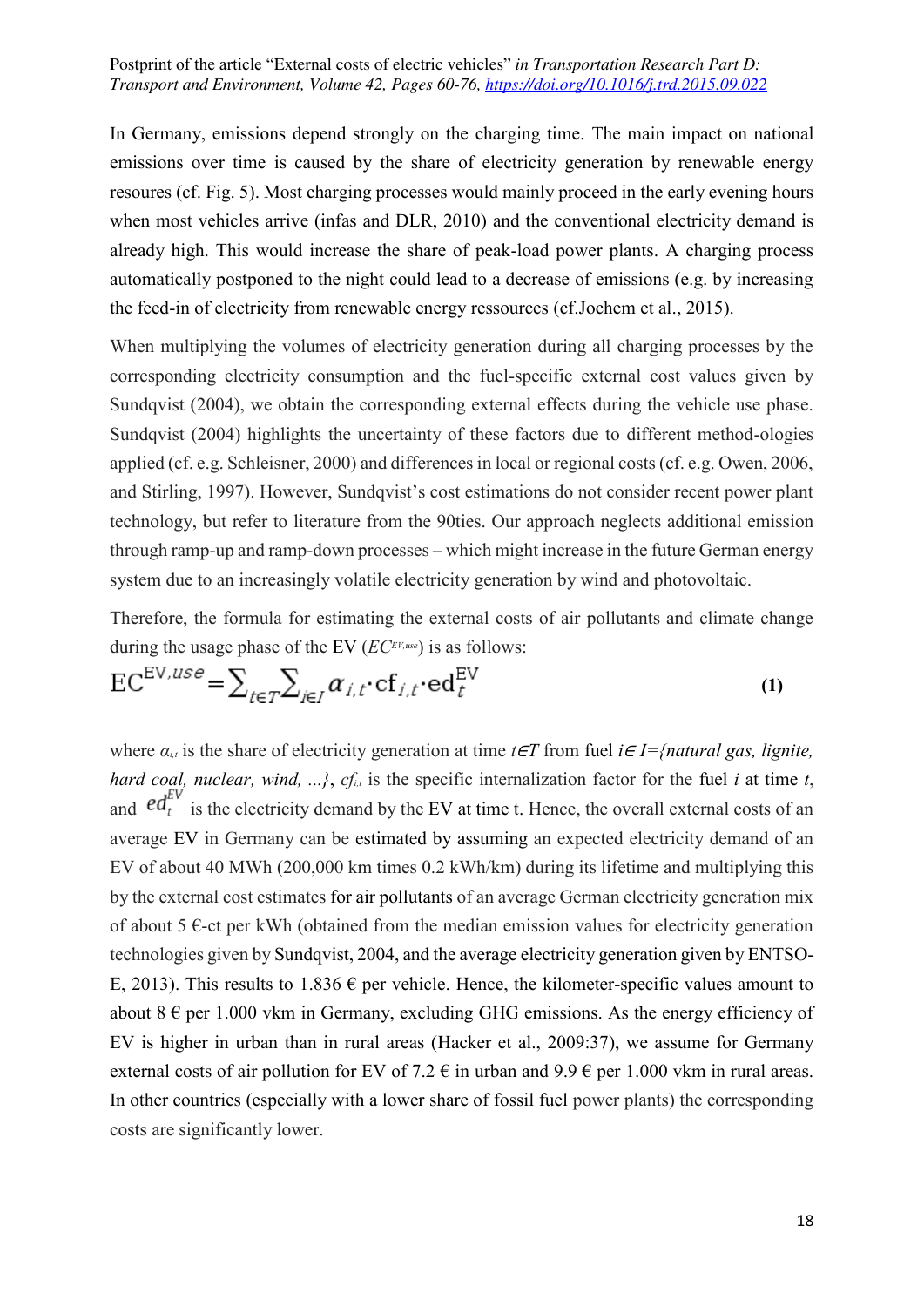In Germany, emissions depend strongly on the charging time. The main impact on national emissions over time is caused by the share of electricity generation by renewable energy resoures (cf. Fig. 5). Most charging processes would mainly proceed in the early evening hours when most vehicles arrive (infas and DLR, 2010) and the conventional electricity demand is already high. This would increase the share of peak-load power plants. A charging process automatically postponed to the night could lead to a decrease of emissions (e.g. by increasing the feed-in of electricity from renewable energy ressources (cf.Jochem et al., 2015).

When multiplying the volumes of electricity generation during all charging processes by the corresponding electricity consumption and the fuel-specific external cost values given by Sundqvist (2004), we obtain the corresponding external effects during the vehicle use phase. Sundqvist (2004) highlights the uncertainty of these factors due to different method-ologies applied (cf. e.g. Schleisner, 2000) and differences in local or regional costs (cf. e.g. Owen, 2006, and Stirling, 1997). However, Sundqvist's cost estimations do not consider recent power plant technology, but refer to literature from the 90ties. Our approach neglects additional emission through ramp-up and ramp-down processes – which might increase in the future German energy system due to an increasingly volatile electricity generation by wind and photovoltaic.

Therefore, the formula for estimating the external costs of air pollutants and climate change during the usage phase of the EV (*ECEV,use*) is as follows:

$$
EC^{EV, use} = \sum_{t \in T} \sum_{i \in I} \alpha_{i,t} \cdot cf_{i,t} \cdot ed_t^{EV}
$$
 (1)

where  $\alpha_i$  is the share of electricity generation at time  $t \in T$  from fuel  $i \in I = \{natural\}$  gas, lignite, *hard coal, nuclear, wind, ...},*  $cf_{i,t}$  *is the specific internalization factor for the fuel <i>i* at time *t*, and  $ed_t^{EV}$  is the electricity demand by the EV at time t. Hence, the overall external costs of an average EV in Germany can be estimated by assuming an expected electricity demand of an EV of about 40 MWh (200,000 km times 0.2 kWh/km) during its lifetime and multiplying this by the external cost estimates for air pollutants of an average German electricity generation mix of about  $5 \in \text{ct}$  per kWh (obtained from the median emission values for electricity generation technologies given by Sundqvist, 2004, and the average electricity generation given by ENTSO-E, 2013). This results to 1.836  $\epsilon$  per vehicle. Hence, the kilometer-specific values amount to about  $8 \in$  per 1.000 vkm in Germany, excluding GHG emissions. As the energy efficiency of EV is higher in urban than in rural areas (Hacker et al., 2009:37), we assume for Germany external costs of air pollution for EV of 7.2  $\epsilon$  in urban and 9.9  $\epsilon$  per 1.000 vkm in rural areas. In other countries (especially with a lower share of fossil fuel power plants) the corresponding costs are significantly lower.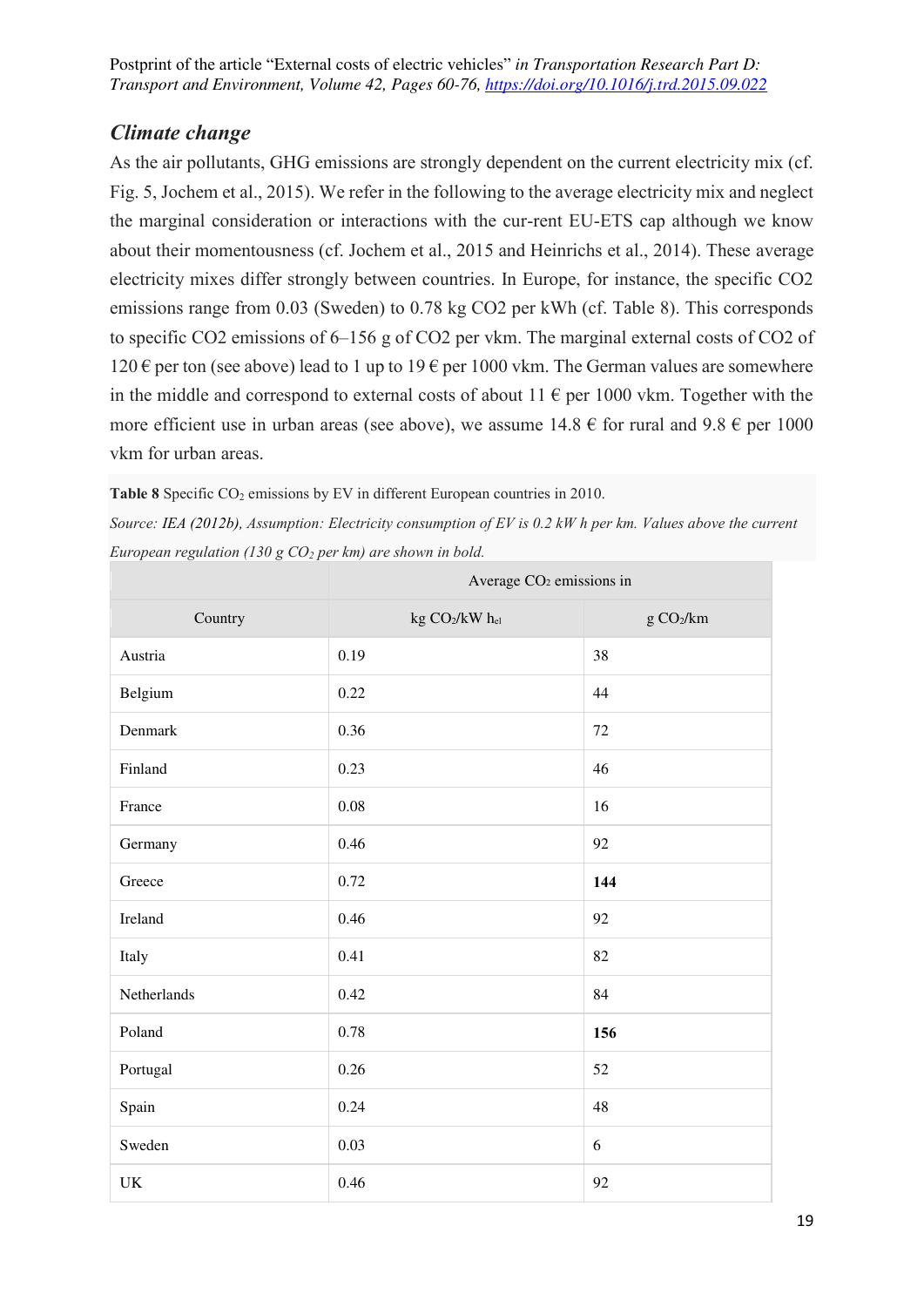### *Climate change*

As the air pollutants, GHG emissions are strongly dependent on the current electricity mix (cf. Fig. 5, Jochem et al., 2015). We refer in the following to the average electricity mix and neglect the marginal consideration or interactions with the cur-rent EU-ETS cap although we know about their momentousness (cf. Jochem et al., 2015 and Heinrichs et al., 2014). These average electricity mixes differ strongly between countries. In Europe, for instance, the specific CO2 emissions range from 0.03 (Sweden) to 0.78 kg CO2 per kWh (cf. Table 8). This corresponds to specific CO2 emissions of 6–156 g of CO2 per vkm. The marginal external costs of CO2 of  $120 \text{ } \in$  per ton (see above) lead to 1 up to 19 € per 1000 vkm. The German values are somewhere in the middle and correspond to external costs of about 11  $\epsilon$  per 1000 vkm. Together with the more efficient use in urban areas (see above), we assume  $14.8 \text{ } \in$  for rural and  $9.8 \text{ } \in$  per 1000 vkm for urban areas.

**Table 8** Specific CO<sub>2</sub> emissions by EV in different European countries in 2010.

*Source: IEA (2012b), Assumption: Electricity consumption of EV is 0.2 kW h per km. Values above the current European regulation (130 g CO2 per km) are shown in bold.* 

|                                   | Average CO <sub>2</sub> emissions in |          |  |
|-----------------------------------|--------------------------------------|----------|--|
| Country                           | kg CO2/kW hel                        | g CO2/km |  |
| Austria                           | 0.19                                 | 38       |  |
| Belgium                           | 0.22                                 | 44       |  |
| Denmark                           | 0.36                                 | 72       |  |
| Finland                           | 0.23                                 | 46       |  |
| France                            | $0.08\,$                             | 16       |  |
| Germany                           | 0.46                                 | 92       |  |
| Greece                            | 0.72                                 | 144      |  |
| Ireland                           | 0.46                                 | 92       |  |
| Italy                             | 0.41                                 | 82       |  |
| Netherlands                       | 0.42                                 | 84       |  |
| Poland                            | 0.78                                 | 156      |  |
| Portugal                          | 0.26                                 | 52       |  |
| Spain                             | 0.24                                 | 48       |  |
| Sweden                            | 0.03                                 | 6        |  |
| $\ensuremath{\mathrm{UK}}\xspace$ | 0.46                                 | 92       |  |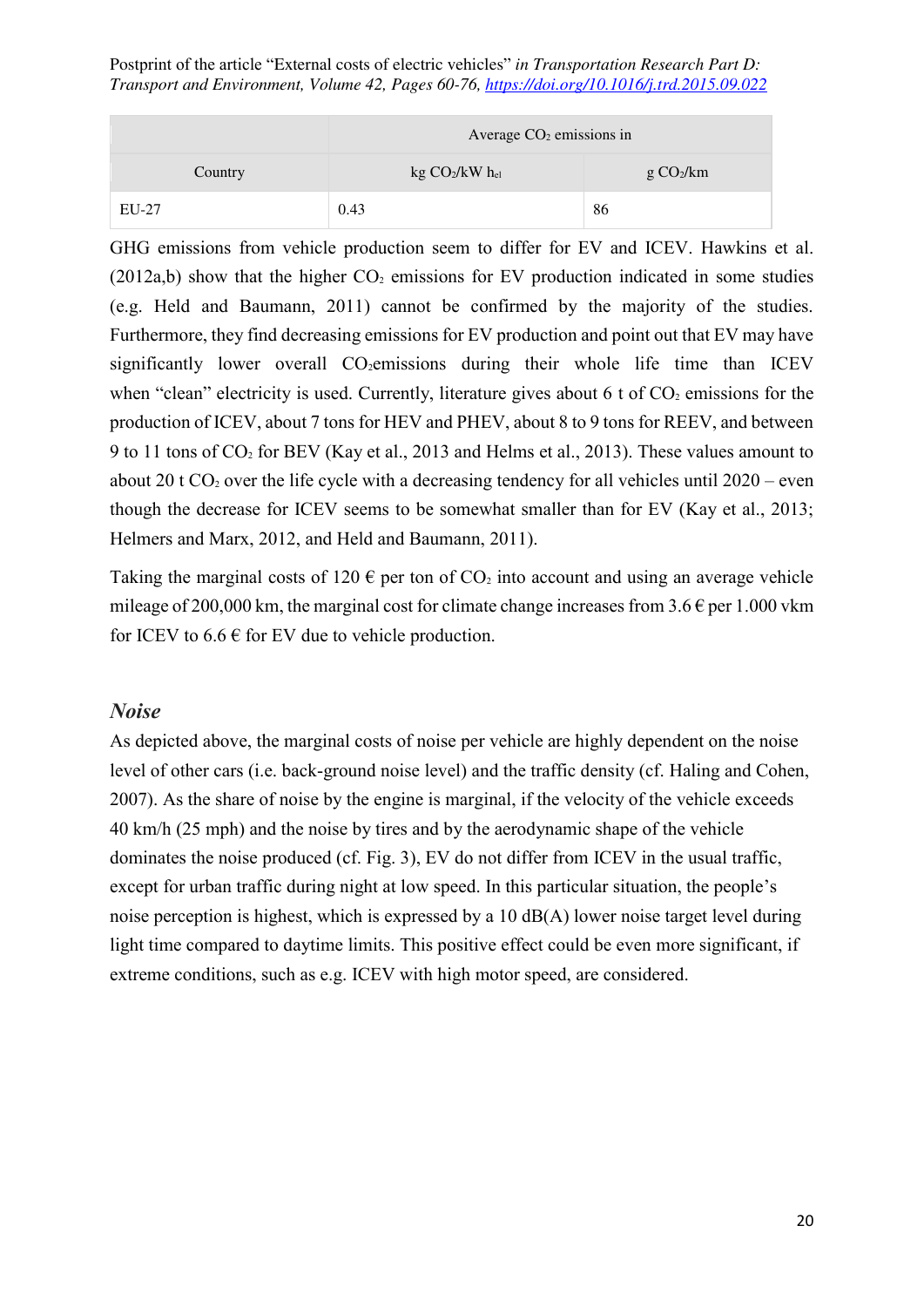|         | Average $CO2$ emissions in             |                    |  |  |
|---------|----------------------------------------|--------------------|--|--|
| Country | kg CO <sub>2</sub> /kW h <sub>el</sub> | $g \text{CO}_2/km$ |  |  |
| EU-27   | 0.43                                   | 86                 |  |  |

GHG emissions from vehicle production seem to differ for EV and ICEV. Hawkins et al.  $(2012a,b)$  show that the higher  $CO<sub>2</sub>$  emissions for EV production indicated in some studies (e.g. Held and Baumann, 2011) cannot be confirmed by the majority of the studies. Furthermore, they find decreasing emissions for EV production and point out that EV may have significantly lower overall CO<sub>2</sub>emissions during their whole life time than ICEV when "clean" electricity is used. Currently, literature gives about 6 t of  $CO<sub>2</sub>$  emissions for the production of ICEV, about 7 tons for HEV and PHEV, about 8 to 9 tons for REEV, and between 9 to 11 tons of  $CO_2$  for BEV (Kay et al., 2013 and Helms et al., 2013). These values amount to about 20 t  $CO<sub>2</sub>$  over the life cycle with a decreasing tendency for all vehicles until 2020 – even though the decrease for ICEV seems to be somewhat smaller than for EV (Kay et al., 2013; Helmers and Marx, 2012, and Held and Baumann, 2011).

Taking the marginal costs of 120  $\epsilon$  per ton of CO<sub>2</sub> into account and using an average vehicle mileage of 200,000 km, the marginal cost for climate change increases from  $3.6 \epsilon$  per 1.000 vkm for ICEV to  $6.6 \in$  for EV due to vehicle production.

#### *Noise*

As depicted above, the marginal costs of noise per vehicle are highly dependent on the noise level of other cars (i.e. back-ground noise level) and the traffic density (cf. Haling and Cohen, 2007). As the share of noise by the engine is marginal, if the velocity of the vehicle exceeds 40 km/h (25 mph) and the noise by tires and by the aerodynamic shape of the vehicle dominates the noise produced (cf. Fig. 3), EV do not differ from ICEV in the usual traffic, except for urban traffic during night at low speed. In this particular situation, the people's noise perception is highest, which is expressed by a 10 dB(A) lower noise target level during light time compared to daytime limits. This positive effect could be even more significant, if extreme conditions, such as e.g. ICEV with high motor speed, are considered.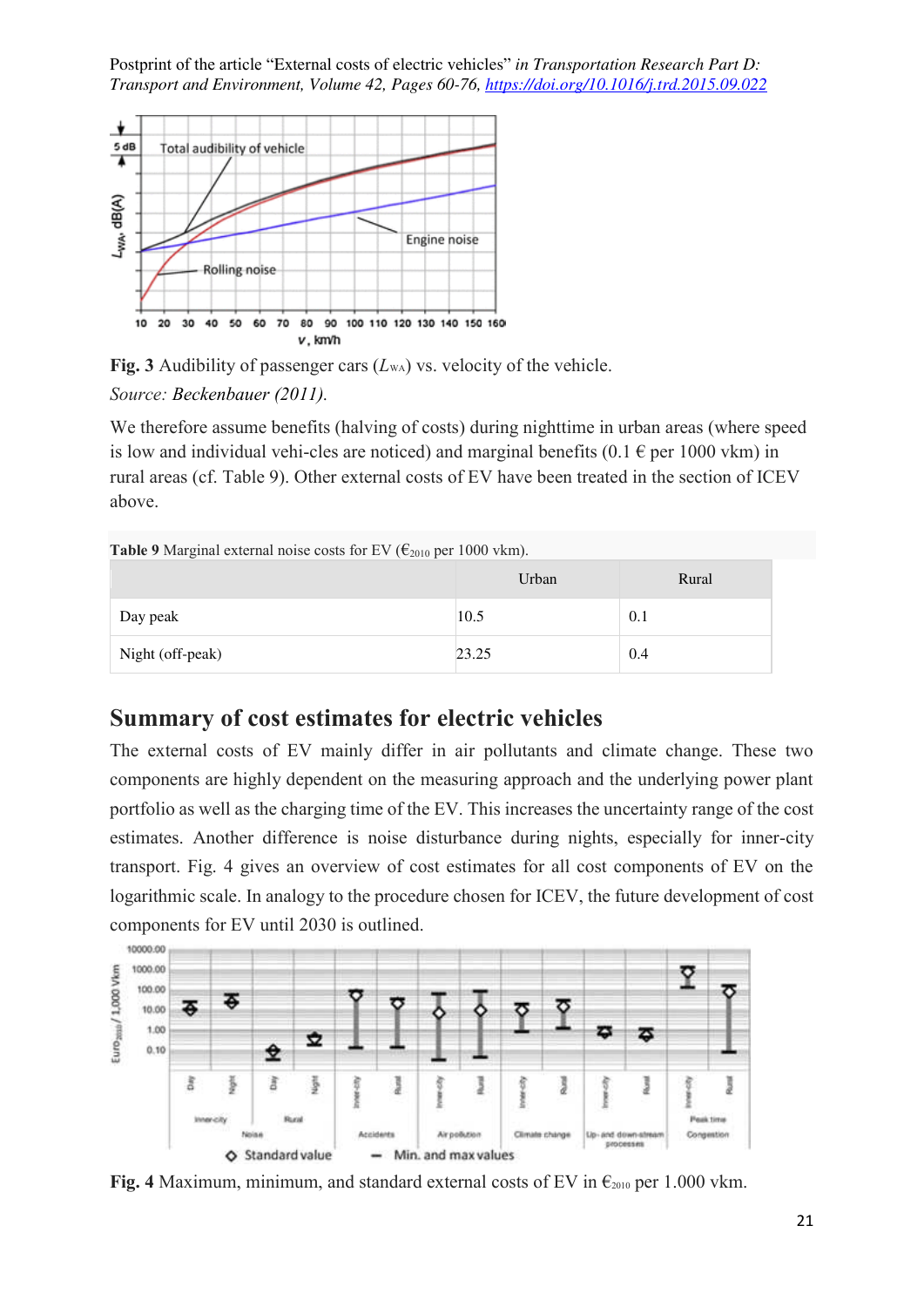

**Fig. 3** Audibility of passenger cars  $(L_{WA})$  vs. velocity of the vehicle. *Source: Beckenbauer (2011).*

We therefore assume benefits (halving of costs) during nighttime in urban areas (where speed is low and individual vehi-cles are noticed) and marginal benefits  $(0.1 \epsilon$  per 1000 vkm) in rural areas (cf. Table 9). Other external costs of EV have been treated in the section of ICEV above.

**Table 9** Marginal external noise costs for EV ( $\epsilon_{2010}$  per 1000 vkm).

|                  | Urban | Rural |
|------------------|-------|-------|
| Day peak         | 10.5  | 0.1   |
| Night (off-peak) | 23.25 | 0.4   |

## **Summary of cost estimates for electric vehicles**

The external costs of EV mainly differ in air pollutants and climate change. These two components are highly dependent on the measuring approach and the underlying power plant portfolio as well as the charging time of the EV. This increases the uncertainty range of the cost estimates. Another difference is noise disturbance during nights, especially for inner-city transport. Fig. 4 gives an overview of cost estimates for all cost components of EV on the logarithmic scale. In analogy to the procedure chosen for ICEV, the future development of cost components for EV until 2030 is outlined.



**Fig. 4** Maximum, minimum, and standard external costs of EV in  $\epsilon_{2010}$  per 1.000 vkm.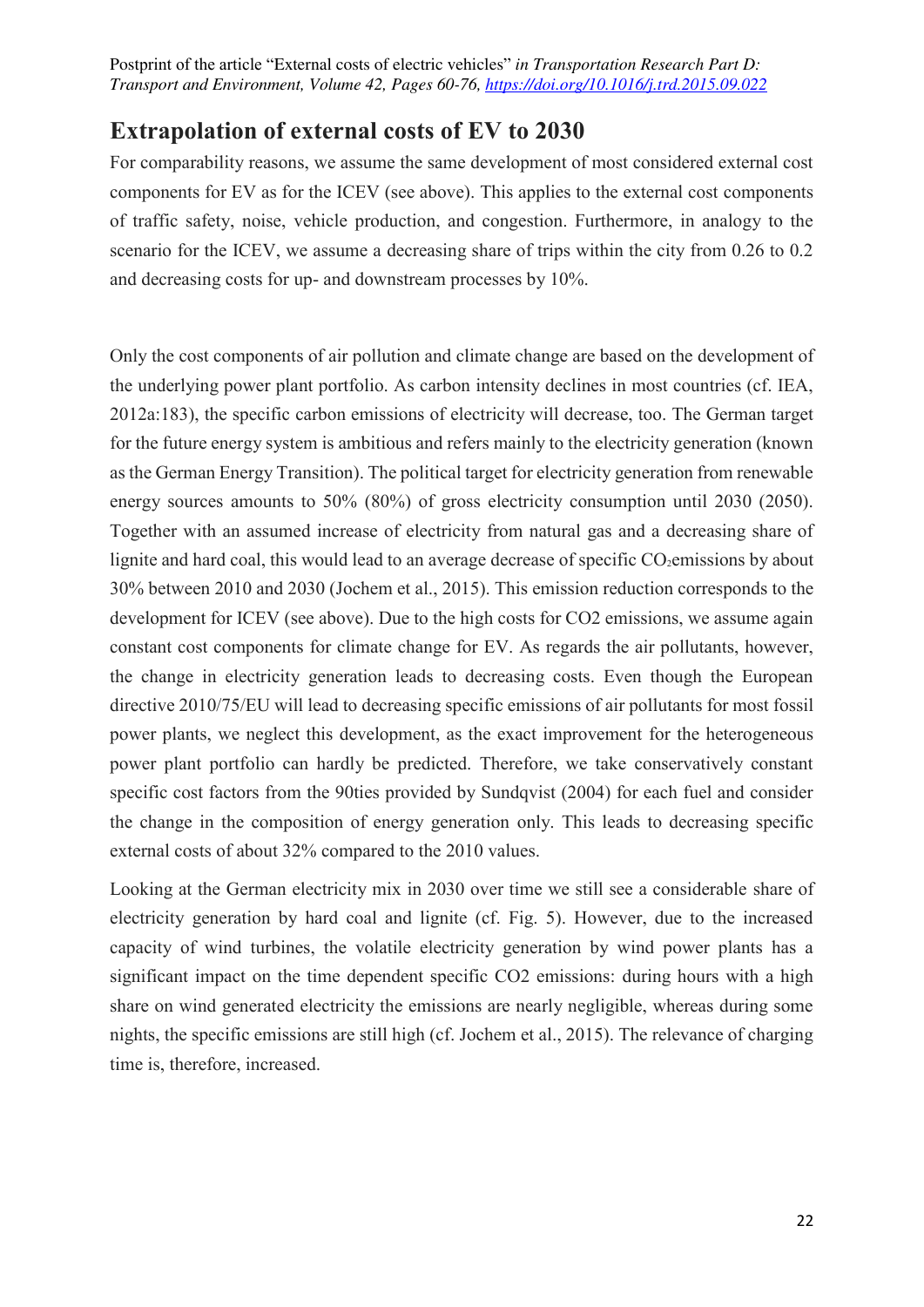## **Extrapolation of external costs of EV to 2030**

For comparability reasons, we assume the same development of most considered external cost components for EV as for the ICEV (see above). This applies to the external cost components of traffic safety, noise, vehicle production, and congestion. Furthermore, in analogy to the scenario for the ICEV, we assume a decreasing share of trips within the city from 0.26 to 0.2 and decreasing costs for up- and downstream processes by 10%.

Only the cost components of air pollution and climate change are based on the development of the underlying power plant portfolio. As carbon intensity declines in most countries (cf. IEA, 2012a:183), the specific carbon emissions of electricity will decrease, too. The German target for the future energy system is ambitious and refers mainly to the electricity generation (known as the German Energy Transition). The political target for electricity generation from renewable energy sources amounts to 50% (80%) of gross electricity consumption until 2030 (2050). Together with an assumed increase of electricity from natural gas and a decreasing share of lignite and hard coal, this would lead to an average decrease of specific  $CO<sub>2</sub>$ emissions by about 30% between 2010 and 2030 (Jochem et al., 2015). This emission reduction corresponds to the development for ICEV (see above). Due to the high costs for CO2 emissions, we assume again constant cost components for climate change for EV. As regards the air pollutants, however, the change in electricity generation leads to decreasing costs. Even though the European directive 2010/75/EU will lead to decreasing specific emissions of air pollutants for most fossil power plants, we neglect this development, as the exact improvement for the heterogeneous power plant portfolio can hardly be predicted. Therefore, we take conservatively constant specific cost factors from the 90ties provided by Sundqvist (2004) for each fuel and consider the change in the composition of energy generation only. This leads to decreasing specific external costs of about 32% compared to the 2010 values.

Looking at the German electricity mix in 2030 over time we still see a considerable share of electricity generation by hard coal and lignite (cf. Fig. 5). However, due to the increased capacity of wind turbines, the volatile electricity generation by wind power plants has a significant impact on the time dependent specific CO2 emissions: during hours with a high share on wind generated electricity the emissions are nearly negligible, whereas during some nights, the specific emissions are still high (cf. Jochem et al., 2015). The relevance of charging time is, therefore, increased.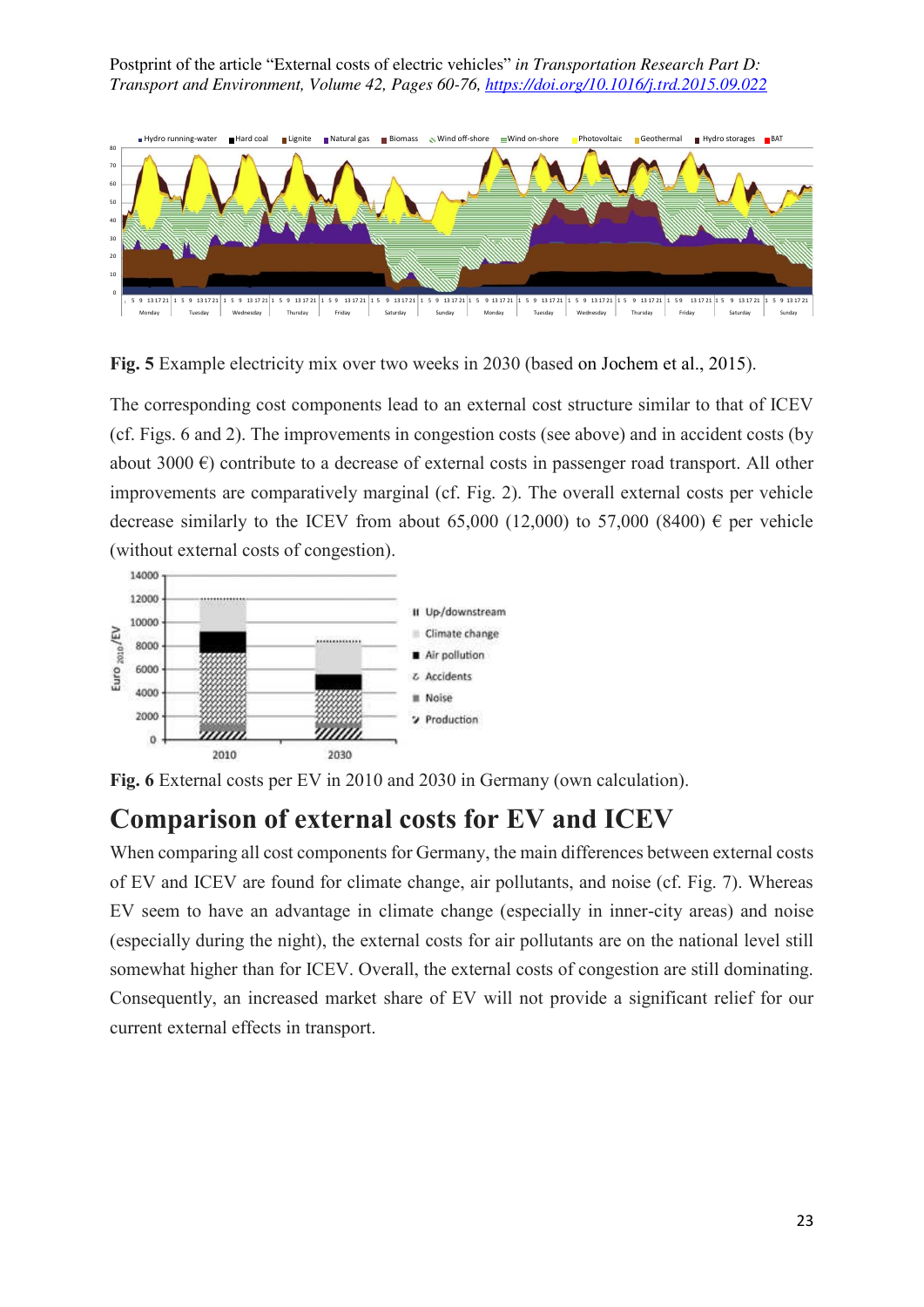

**Fig. 5** Example electricity mix over two weeks in 2030 (based on Jochem et al., 2015).

The corresponding cost components lead to an external cost structure similar to that of ICEV (cf. Figs. 6 and 2). The improvements in congestion costs (see above) and in accident costs (by about 3000  $\epsilon$ ) contribute to a decrease of external costs in passenger road transport. All other improvements are comparatively marginal (cf. Fig. 2). The overall external costs per vehicle decrease similarly to the ICEV from about 65,000 (12,000) to 57,000 (8400)  $\epsilon$  per vehicle (without external costs of congestion).



**Fig. 6** External costs per EV in 2010 and 2030 in Germany (own calculation).

# **Comparison of external costs for EV and ICEV**

When comparing all cost components for Germany, the main differences between external costs of EV and ICEV are found for climate change, air pollutants, and noise (cf. Fig. 7). Whereas EV seem to have an advantage in climate change (especially in inner-city areas) and noise (especially during the night), the external costs for air pollutants are on the national level still somewhat higher than for ICEV. Overall, the external costs of congestion are still dominating. Consequently, an increased market share of EV will not provide a significant relief for our current external effects in transport.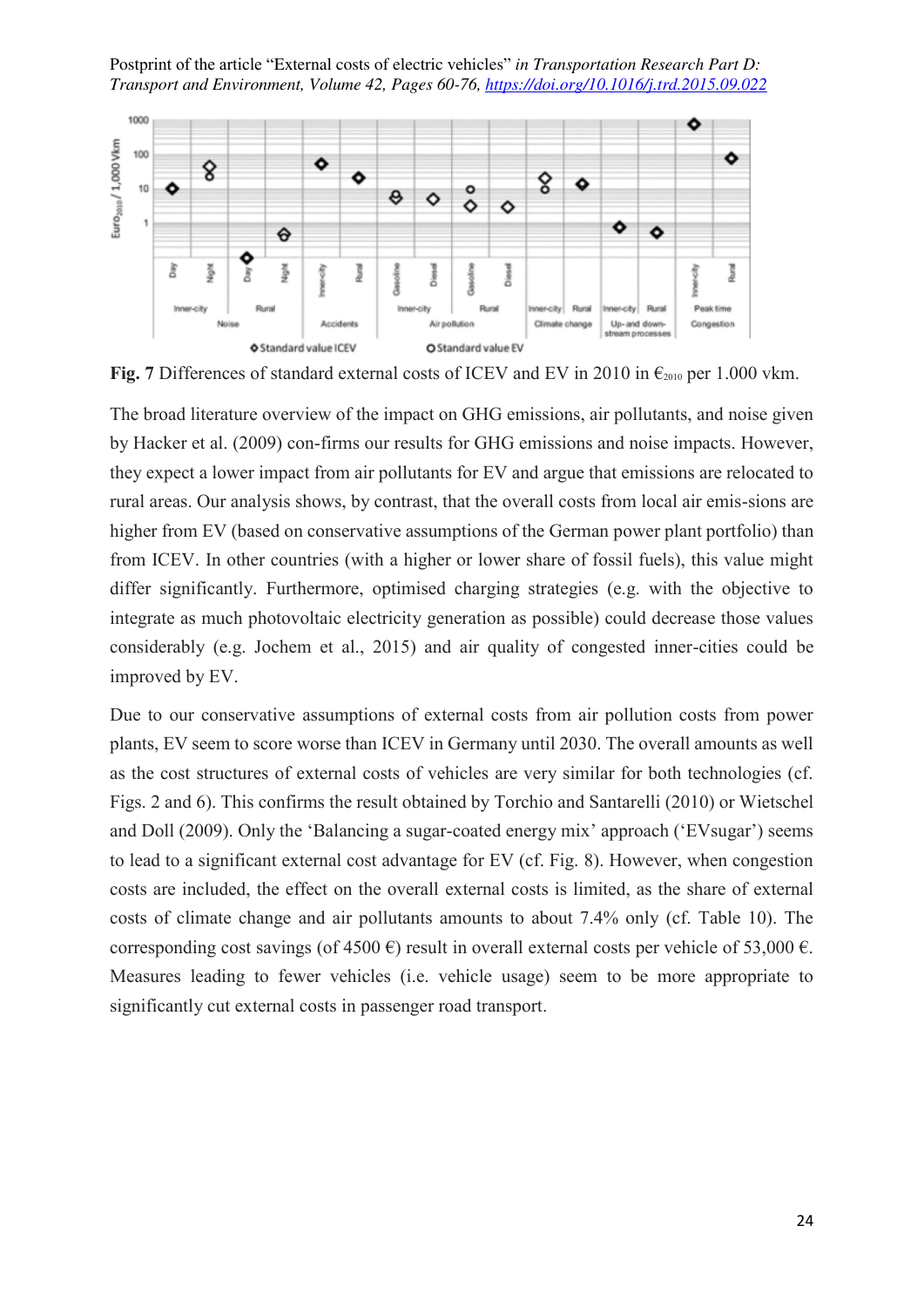

**Fig. 7** Differences of standard external costs of ICEV and EV in 2010 in  $\epsilon_{2010}$  per 1.000 vkm.

The broad literature overview of the impact on GHG emissions, air pollutants, and noise given by Hacker et al. (2009) con-firms our results for GHG emissions and noise impacts. However, they expect a lower impact from air pollutants for EV and argue that emissions are relocated to rural areas. Our analysis shows, by contrast, that the overall costs from local air emis-sions are higher from EV (based on conservative assumptions of the German power plant portfolio) than from ICEV. In other countries (with a higher or lower share of fossil fuels), this value might differ significantly. Furthermore, optimised charging strategies (e.g. with the objective to integrate as much photovoltaic electricity generation as possible) could decrease those values considerably (e.g. Jochem et al., 2015) and air quality of congested inner-cities could be improved by EV.

Due to our conservative assumptions of external costs from air pollution costs from power plants, EV seem to score worse than ICEV in Germany until 2030. The overall amounts as well as the cost structures of external costs of vehicles are very similar for both technologies (cf. Figs. 2 and 6). This confirms the result obtained by Torchio and Santarelli (2010) or Wietschel and Doll (2009). Only the 'Balancing a sugar-coated energy mix' approach ('EVsugar') seems to lead to a significant external cost advantage for EV (cf. Fig. 8). However, when congestion costs are included, the effect on the overall external costs is limited, as the share of external costs of climate change and air pollutants amounts to about 7.4% only (cf. Table 10). The corresponding cost savings (of 4500 €) result in overall external costs per vehicle of 53,000 €. Measures leading to fewer vehicles (i.e. vehicle usage) seem to be more appropriate to significantly cut external costs in passenger road transport.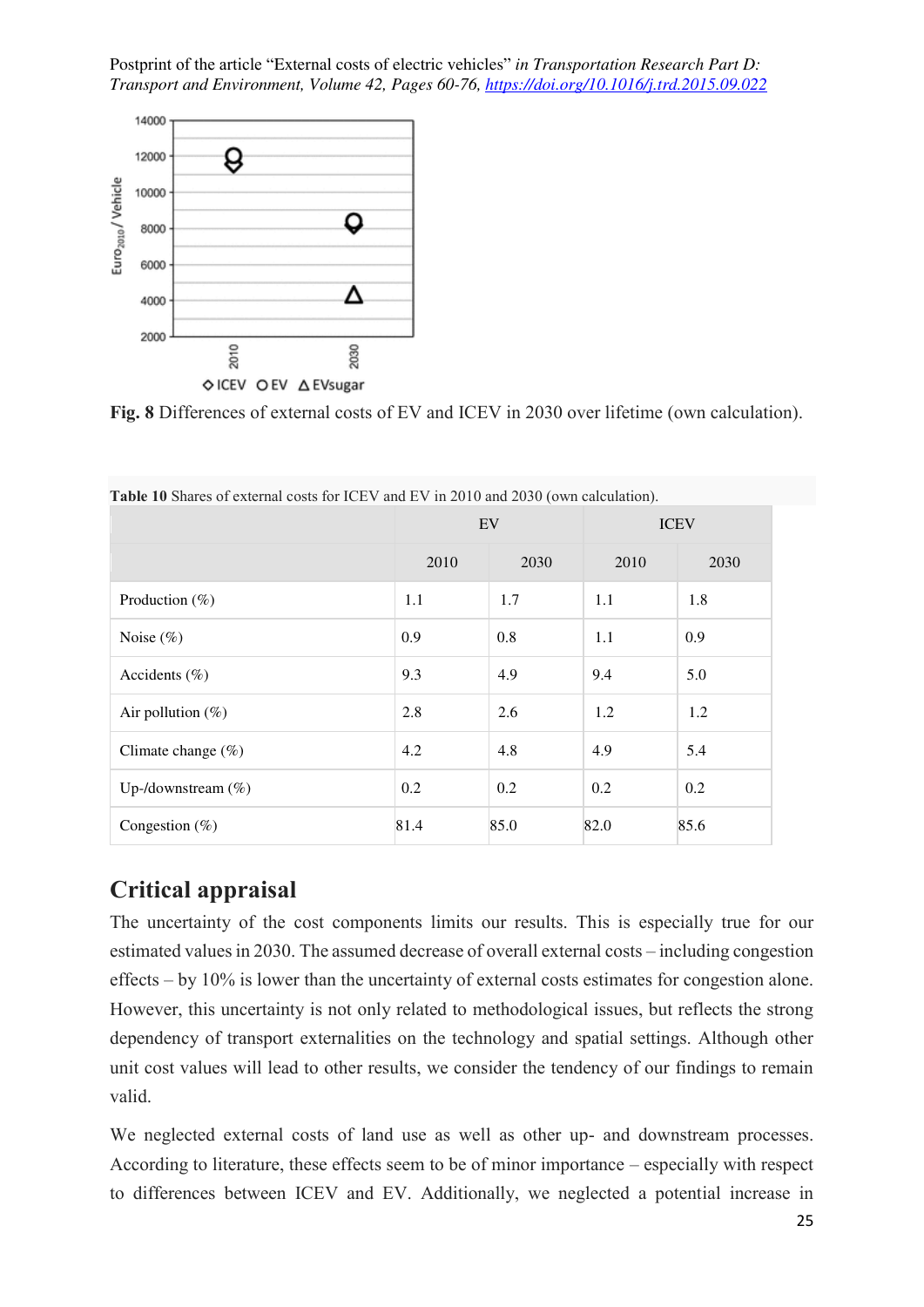

**Fig. 8** Differences of external costs of EV and ICEV in 2030 over lifetime (own calculation).

|                       | EV   |      |      | <b>ICEV</b> |
|-----------------------|------|------|------|-------------|
|                       | 2010 | 2030 | 2010 | 2030        |
| Production $(\%)$     | 1.1  | 1.7  | 1.1  | 1.8         |
| Noise $(\%)$          | 0.9  | 0.8  | 1.1  | 0.9         |
| Accidents $(\%)$      | 9.3  | 4.9  | 9.4  | 5.0         |
| Air pollution $(\%)$  | 2.8  | 2.6  | 1.2  | 1.2         |
| Climate change $(\%)$ | 4.2  | 4.8  | 4.9  | 5.4         |
| Up-/downstream $(\%)$ | 0.2  | 0.2  | 0.2  | 0.2         |
| Congestion $(\%)$     | 81.4 | 85.0 | 82.0 | 85.6        |

**Table 10** Shares of external costs for ICEV and EV in 2010 and 2030 (own calculation).

## **Critical appraisal**

The uncertainty of the cost components limits our results. This is especially true for our estimated values in 2030. The assumed decrease of overall external costs – including congestion effects – by 10% is lower than the uncertainty of external costs estimates for congestion alone. However, this uncertainty is not only related to methodological issues, but reflects the strong dependency of transport externalities on the technology and spatial settings. Although other unit cost values will lead to other results, we consider the tendency of our findings to remain valid.

We neglected external costs of land use as well as other up- and downstream processes. According to literature, these effects seem to be of minor importance – especially with respect to differences between ICEV and EV. Additionally, we neglected a potential increase in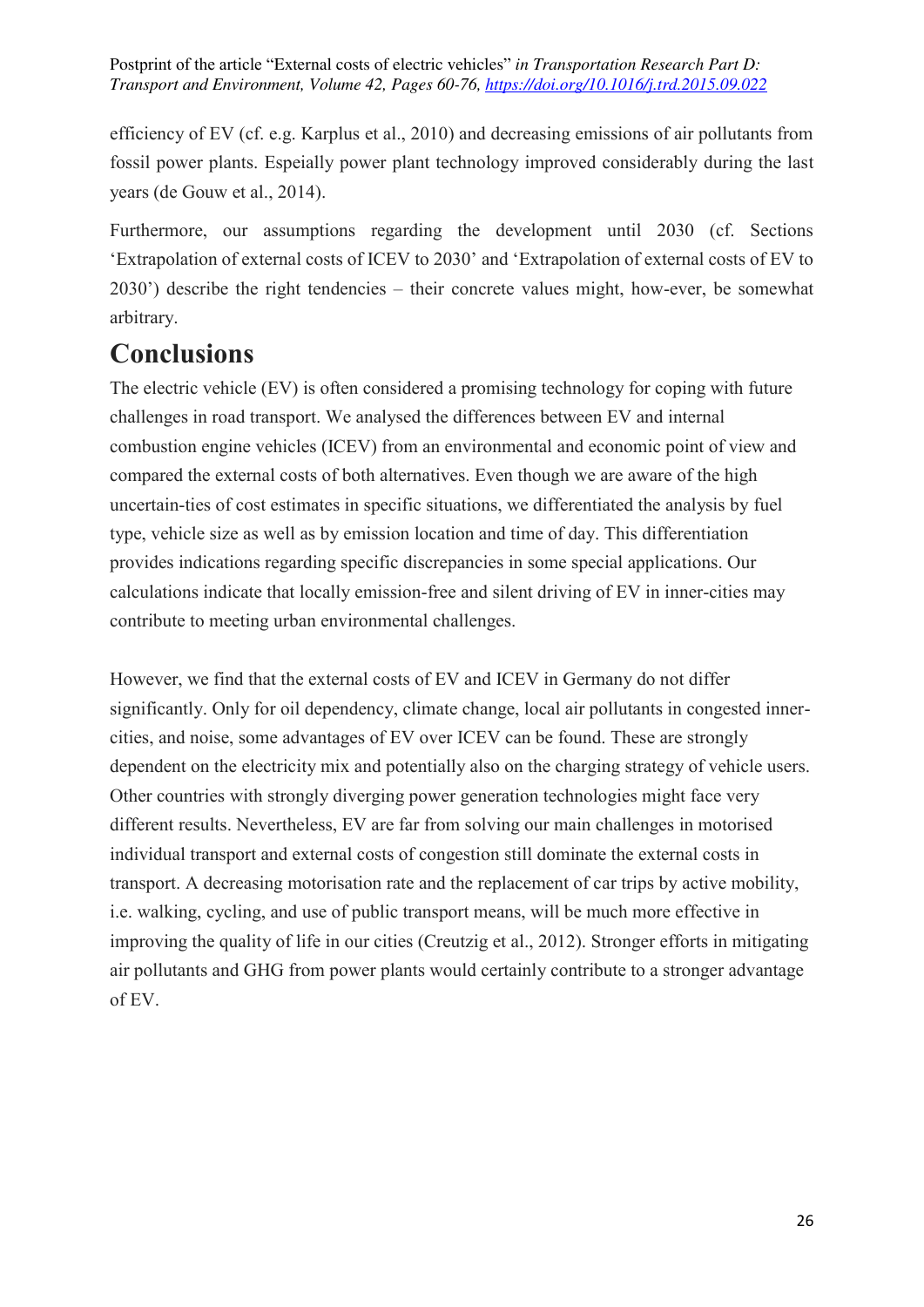efficiency of EV (cf. e.g. Karplus et al., 2010) and decreasing emissions of air pollutants from fossil power plants. Espeially power plant technology improved considerably during the last years (de Gouw et al., 2014).

Furthermore, our assumptions regarding the development until 2030 (cf. Sections 'Extrapolation of external costs of ICEV to 2030' and 'Extrapolation of external costs of EV to 2030') describe the right tendencies – their concrete values might, how-ever, be somewhat arbitrary.

# **Conclusions**

The electric vehicle (EV) is often considered a promising technology for coping with future challenges in road transport. We analysed the differences between EV and internal combustion engine vehicles (ICEV) from an environmental and economic point of view and compared the external costs of both alternatives. Even though we are aware of the high uncertain-ties of cost estimates in specific situations, we differentiated the analysis by fuel type, vehicle size as well as by emission location and time of day. This differentiation provides indications regarding specific discrepancies in some special applications. Our calculations indicate that locally emission-free and silent driving of EV in inner-cities may contribute to meeting urban environmental challenges.

However, we find that the external costs of EV and ICEV in Germany do not differ significantly. Only for oil dependency, climate change, local air pollutants in congested innercities, and noise, some advantages of EV over ICEV can be found. These are strongly dependent on the electricity mix and potentially also on the charging strategy of vehicle users. Other countries with strongly diverging power generation technologies might face very different results. Nevertheless, EV are far from solving our main challenges in motorised individual transport and external costs of congestion still dominate the external costs in transport. A decreasing motorisation rate and the replacement of car trips by active mobility, i.e. walking, cycling, and use of public transport means, will be much more effective in improving the quality of life in our cities (Creutzig et al., 2012). Stronger efforts in mitigating air pollutants and GHG from power plants would certainly contribute to a stronger advantage of EV.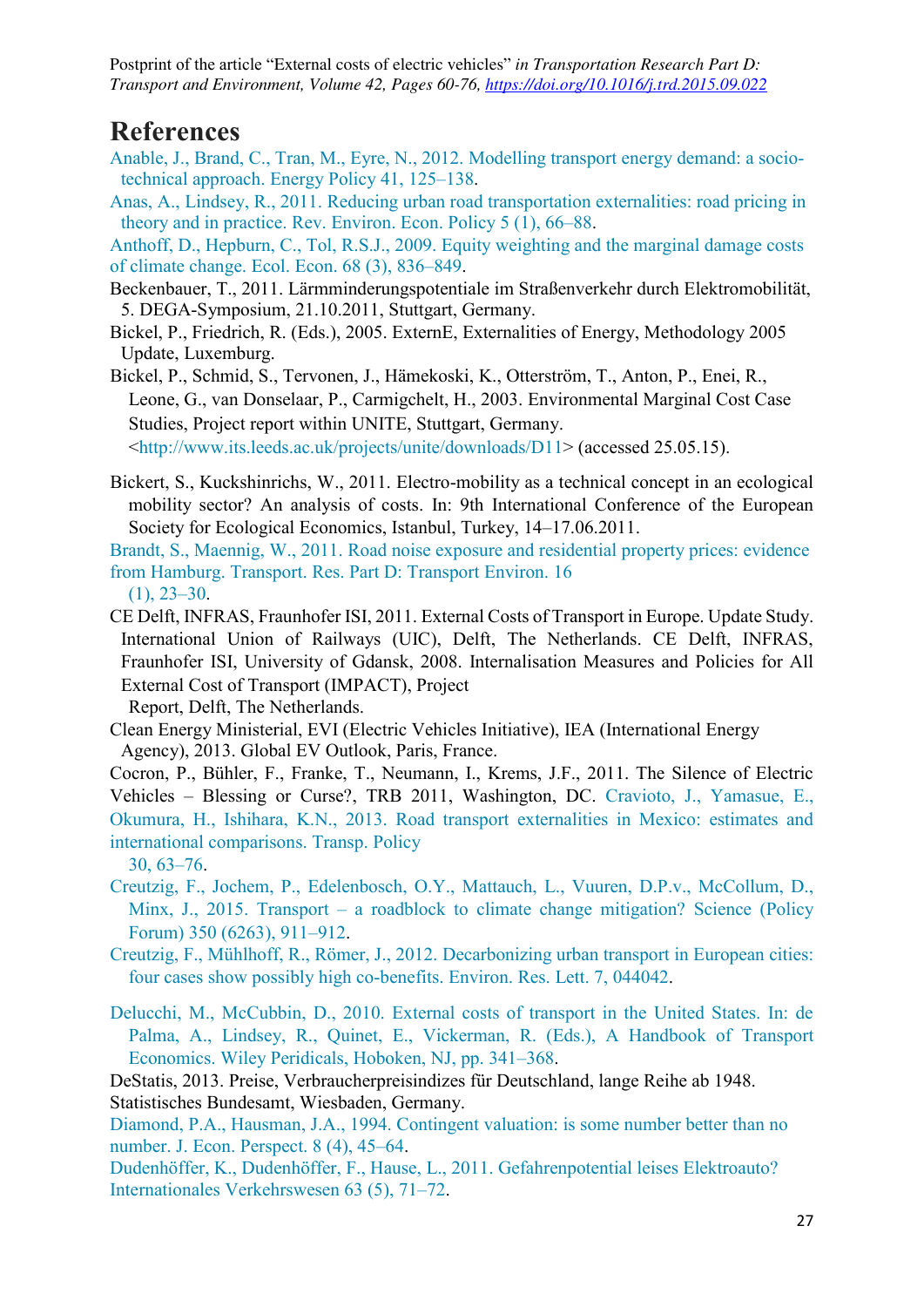### **References**

[Anable, J., Brand, C., Tran, M., Eyre, N., 2012. Modelling transport energy demand: a socio](http://refhub.elsevier.com/S1361-9209(15)00146-7/h0005)[technical approach. Energy Policy 41, 125](http://refhub.elsevier.com/S1361-9209(15)00146-7/h0005)–138.

[Anas, A., Lindsey, R., 2011. Reducing urban road transportation externalities: road pricing in](http://refhub.elsevier.com/S1361-9209(15)00146-7/h0010)  [theory and in practice. Rev. Environ. Econ. Policy 5 \(1\), 66](http://refhub.elsevier.com/S1361-9209(15)00146-7/h0010)–88.

[Anthoff, D., Hepburn, C., Tol, R.S.J., 2009. Equity weighting and the marginal damage costs](http://refhub.elsevier.com/S1361-9209(15)00146-7/h0015)  [of climate change. Ecol. Econ. 68 \(3\), 836](http://refhub.elsevier.com/S1361-9209(15)00146-7/h0015)–849.

- Beckenbauer, T., 2011. Lärmminderungspotentiale im Straßenverkehr durch Elektromobilität, 5. DEGA-Symposium, 21.10.2011, Stuttgart, Germany.
- Bickel, P., Friedrich, R. (Eds.), 2005. ExternE, Externalities of Energy, Methodology 2005 Update, Luxemburg.
- Bickel, P., Schmid, S., Tervonen, J., Hämekoski, K., Otterström, T., Anton, P., Enei, R., Leone, G., van Donselaar, P., Carmigchelt, H., 2003. Environmental Marginal Cost Case Studies, Project report within UNITE, Stuttgart, Germany. [<http://www.its.leeds.ac.uk/projects/unite/downloads/D11>](http://www.its.leeds.ac.uk/projects/unite/downloads/D11) (accessed 25.05.15).
- Bickert, S., Kuckshinrichs, W., 2011. Electro-mobility as a technical concept in an ecological mobility sector? An analysis of costs. In: 9th International Conference of the European Society for Ecological Economics, Istanbul, Turkey, 14–17.06.2011.

[Brandt, S., Maennig, W., 2011. Road noise exposure and residential property prices: evidence](http://refhub.elsevier.com/S1361-9209(15)00146-7/h0040)  [from Hamburg. Transport. Res. Part D: Transport Environ. 16](http://refhub.elsevier.com/S1361-9209(15)00146-7/h0040) 

 $(1), 23-30.$  $(1), 23-30.$ 

CE Delft, INFRAS, Fraunhofer ISI, 2011. External Costs of Transport in Europe. Update Study. International Union of Railways (UIC), Delft, The Netherlands. CE Delft, INFRAS, Fraunhofer ISI, University of Gdansk, 2008. Internalisation Measures and Policies for All External Cost of Transport (IMPACT), Project

Report, Delft, The Netherlands.

- Clean Energy Ministerial, EVI (Electric Vehicles Initiative), IEA (International Energy Agency), 2013. Global EV Outlook, Paris, France.
- Cocron, P., Bühler, F., Franke, T., Neumann, I., Krems, J.F., 2011. The Silence of Electric Vehicles – Blessing or Curse?, TRB 2011, Washington, DC. [Cravioto, J., Yamasue, E.,](http://refhub.elsevier.com/S1361-9209(15)00146-7/h0065)  [Okumura, H., Ishihara, K.N., 2013. Road transport externalities in Mexico: estimates and](http://refhub.elsevier.com/S1361-9209(15)00146-7/h0065)
- [international comparisons. Transp. Policy](http://refhub.elsevier.com/S1361-9209(15)00146-7/h0065)  [30, 63](http://refhub.elsevier.com/S1361-9209(15)00146-7/h0065)–76.
- [Creutzig, F., Jochem, P., Edelenbosch, O.Y., Mattauch, L., Vuuren, D.P.v., McCollum, D.,](http://refhub.elsevier.com/S1361-9209(15)00146-7/h9000)  Minx, J., 2015. Transport – [a roadblock to climate change mitigation? Science \(Policy](http://refhub.elsevier.com/S1361-9209(15)00146-7/h9000)  [Forum\) 350 \(6263\), 911](http://refhub.elsevier.com/S1361-9209(15)00146-7/h9000)–912.
- [Creutzig, F., Mühlhoff, R., Römer, J., 2012. Decarbonizing urban transport in European cities:](http://refhub.elsevier.com/S1361-9209(15)00146-7/h9005)  [four cases show possibly high co-benefits. Environ. Res. Lett. 7, 044042.](http://refhub.elsevier.com/S1361-9209(15)00146-7/h9005)
- [Delucchi, M., McCubbin, D., 2010. External costs of transport in the United States. In: de](http://refhub.elsevier.com/S1361-9209(15)00146-7/h0070)  [Palma, A., Lindsey, R., Quinet, E., Vickerman, R. \(Eds.\), A Handbook of Transport](http://refhub.elsevier.com/S1361-9209(15)00146-7/h0070)  [Economics. Wiley Peridicals, Hoboken, NJ, pp. 341](http://refhub.elsevier.com/S1361-9209(15)00146-7/h0070)–368.

DeStatis, 2013. Preise, Verbraucherpreisindizes für Deutschland, lange Reihe ab 1948. Statistisches Bundesamt, Wiesbaden, Germany.

[Diamond, P.A., Hausman, J.A., 1994. Contingent valuation: is some number better than no](http://refhub.elsevier.com/S1361-9209(15)00146-7/h0080)  [number. J. Econ. Perspect. 8 \(4\), 45](http://refhub.elsevier.com/S1361-9209(15)00146-7/h0080)–64.

[Dudenhöffer, K., Dudenhöffer, F., Hause, L., 2011. Gefahrenpotential leises Elektroauto?](http://refhub.elsevier.com/S1361-9209(15)00146-7/h0085)  [Internationales Verkehrswesen 63 \(5\), 71](http://refhub.elsevier.com/S1361-9209(15)00146-7/h0085)–72.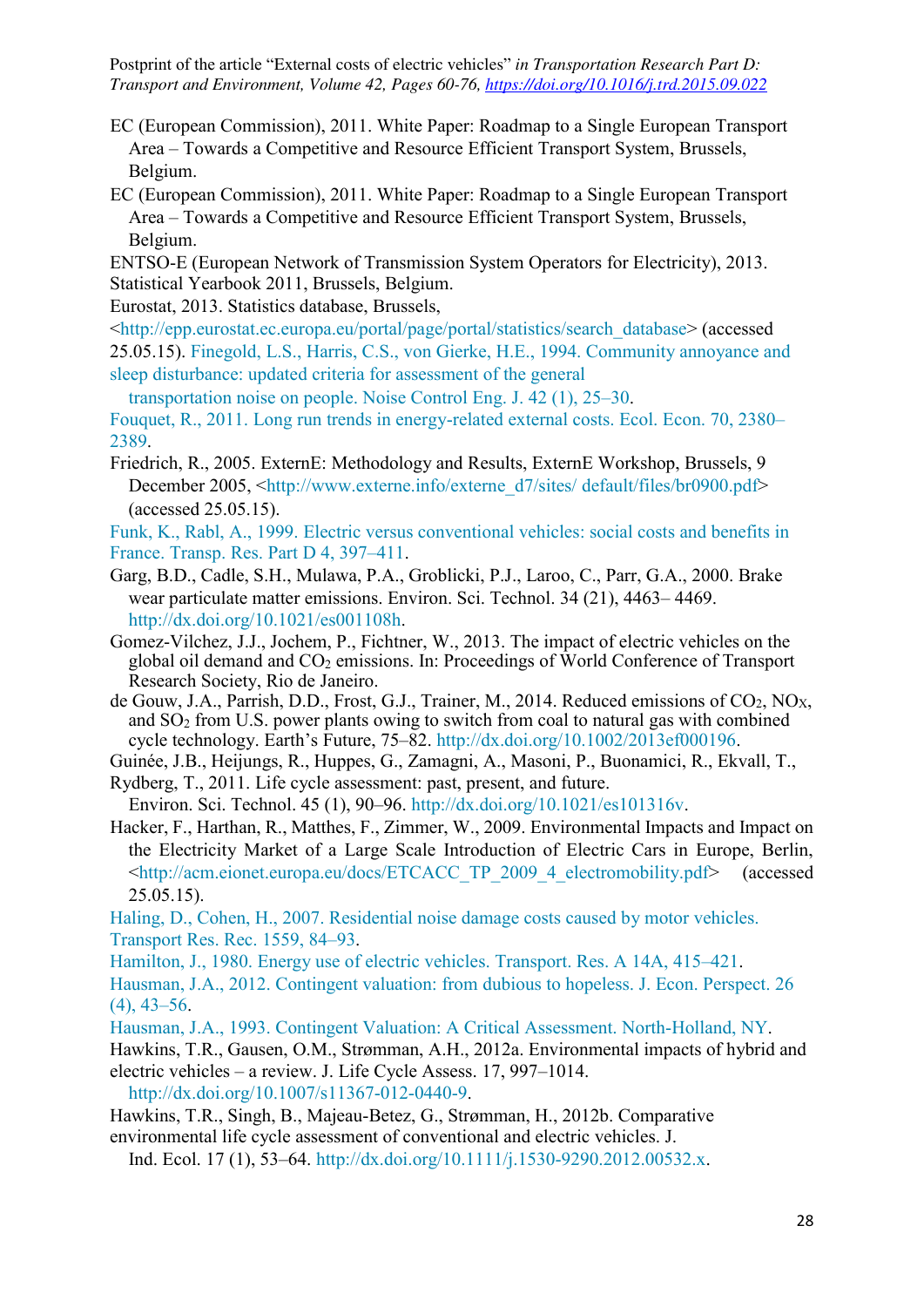- EC (European Commission), 2011. White Paper: Roadmap to a Single European Transport Area – Towards a Competitive and Resource Efficient Transport System, Brussels, Belgium.
- EC (European Commission), 2011. White Paper: Roadmap to a Single European Transport Area – Towards a Competitive and Resource Efficient Transport System, Brussels, Belgium.
- ENTSO-E (European Network of Transmission System Operators for Electricity), 2013. Statistical Yearbook 2011, Brussels, Belgium.
- Eurostat, 2013. Statistics database, Brussels,
- [<http://epp.eurostat.ec.europa.eu/portal/page/portal/statistics/search\\_database>](http://epp.eurostat.ec.europa.eu/portal/page/portal/statistics/search_database) (accessed 25.05.15). [Finegold, L.S., Harris, C.S., von Gierke, H.E., 1994. Community annoyance and](http://refhub.elsevier.com/S1361-9209(15)00146-7/h0110)  [sleep disturbance: updated criteria for assessment of the general](http://refhub.elsevier.com/S1361-9209(15)00146-7/h0110)

[transportation noise on people. Noise Control Eng. J. 42 \(1\), 25](http://refhub.elsevier.com/S1361-9209(15)00146-7/h0110)–30.

[Fouquet, R., 2011. Long run trends in energy-related external costs. Ecol. Econ. 70, 2380](http://refhub.elsevier.com/S1361-9209(15)00146-7/h0120)– [2389.](http://refhub.elsevier.com/S1361-9209(15)00146-7/h0120)

Friedrich, R., 2005. ExternE: Methodology and Results, ExternE Workshop, Brussels, 9 December 2005, [<http://www.externe.info/externe\\_d7/sites/](http://www.externe.info/externe_d7/sites/default/files/br0900.pdf) [default/files/br0900.pdf>](http://www.externe.info/externe_d7/sites/default/files/br0900.pdf) (accessed 25.05.15).

[Funk, K., Rabl, A., 1999. Electric versus conventional vehicles: social costs and benefits in](http://refhub.elsevier.com/S1361-9209(15)00146-7/h0130)  [France. Transp. Res. Part D 4, 397](http://refhub.elsevier.com/S1361-9209(15)00146-7/h0130)–411.

- Garg, B.D., Cadle, S.H., Mulawa, P.A., Groblicki, P.J., Laroo, C., Parr, G.A., 2000. Brake wear particulate matter emissions. Environ. Sci. Technol. 34 (21), 4463– 4469. [http://dx.doi.org/10.1021/es001108h.](http://dx.doi.org/10.1021/es001108h)
- Gomez-Vilchez, J.J., Jochem, P., Fichtner, W., 2013. The impact of electric vehicles on the global oil demand and CO2 emissions. In: Proceedings of World Conference of Transport Research Society, Rio de Janeiro.
- de Gouw, J.A., Parrish, D.D., Frost, G.J., Trainer, M., 2014. Reduced emissions of  $CO<sub>2</sub>$ , NO<sub>X</sub>, and SO2 from U.S. power plants owing to switch from coal to natural gas with combined cycle technology. Earth's Future,  $75-\overline{8}2$ . [http://dx.doi.org/10.1002/2013ef000196.](http://dx.doi.org/10.1002/2013ef000196)

Guinée, J.B., Heijungs, R., Huppes, G., Zamagni, A., Masoni, P., Buonamici, R., Ekvall, T.,

- Rydberg, T., 2011. Life cycle assessment: past, present, and future. Environ. Sci. Technol. 45 (1), 90–96. [http://dx.doi.org/10.1021/es101316v.](http://dx.doi.org/10.1021/es101316v)
- Hacker, F., Harthan, R., Matthes, F., Zimmer, W., 2009. Environmental Impacts and Impact on the Electricity Market of a Large Scale Introduction of Electric Cars in Europe, Berlin, [<http://acm.eionet.europa.eu/docs/ETCACC\\_TP\\_2009\\_4\\_electromobility.pdf>](http://acm.eionet.europa.eu/docs/ETCACC_TP_2009_4_electromobility.pdf) (accessed 25.05.15).

[Haling, D., Cohen, H., 2007. Residential noise damage costs caused by motor vehicles.](http://refhub.elsevier.com/S1361-9209(15)00146-7/h0155)  [Transport Res. Rec. 1559, 84](http://refhub.elsevier.com/S1361-9209(15)00146-7/h0155)–93.

[Hamilton, J., 1980. Energy use of electric vehicles. Transport. Res. A 14A, 415](http://refhub.elsevier.com/S1361-9209(15)00146-7/h0160)–421.

[Hausman, J.A., 2012. Contingent valuation: from dubious to hopeless. J. Econ. Perspect. 26](http://refhub.elsevier.com/S1361-9209(15)00146-7/h0165)   $(4)$ , 43–56.

- [Hausman, J.A., 1993. Contingent Valuation: A Critical Assessment. North-Holland, NY.](http://refhub.elsevier.com/S1361-9209(15)00146-7/h0170)
- Hawkins, T.R., Gausen, O.M., Strømman, A.H., 2012a. Environmental impacts of hybrid and electric vehicles – a review. J. Life Cycle Assess. 17, 997–1014.

[http://dx.doi.org/10.1007/s11367-012-0440-9.](http://dx.doi.org/10.1007/s11367-012-0440-9)

- Hawkins, T.R., Singh, B., Majeau-Betez, G., Strømman, H., 2012b. Comparative
- environmental life cycle assessment of conventional and electric vehicles. J.
	- Ind. Ecol. 17 (1), 53–64. [http://dx.doi.org/10.1111/j.1530-9290.2012.00532.x.](http://dx.doi.org/10.1111/j.1530-9290.2012.00532.x)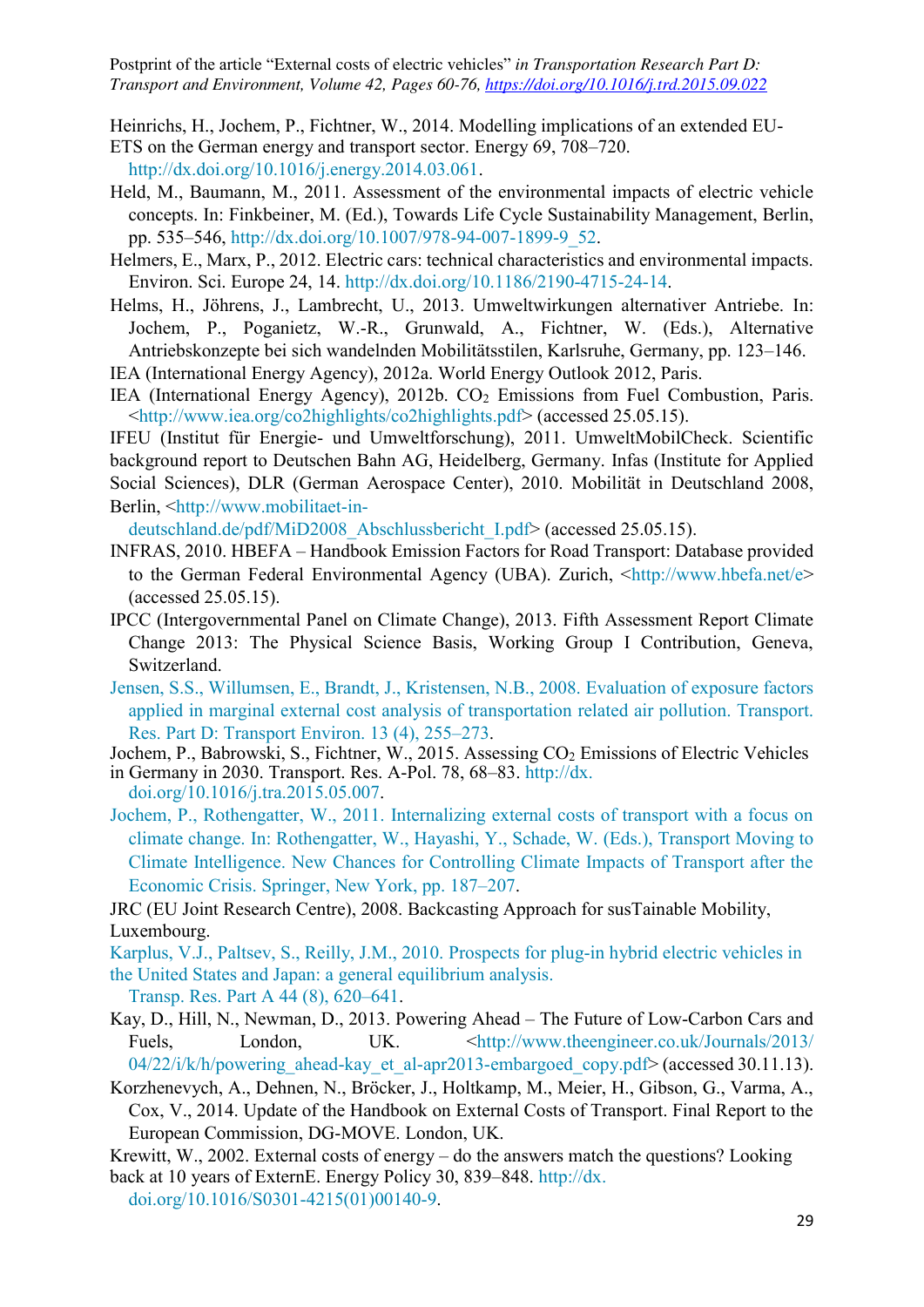Heinrichs, H., Jochem, P., Fichtner, W., 2014. Modelling implications of an extended EU-

- ETS on the German energy and transport sector. Energy 69, 708–720. [http://dx.doi.org/10.1016/j.energy.2014.03.061.](http://dx.doi.org/10.1016/j.energy.2014.03.061)
- Held, M., Baumann, M., 2011. Assessment of the environmental impacts of electric vehicle
- concepts. In: Finkbeiner, M. (Ed.), Towards Life Cycle Sustainability Management, Berlin, pp. 535–546, [http://dx.doi.org/10.1007/978-94-007-1899-9\\_52.](http://dx.doi.org/10.1007/978-94-007-1899-9_52)
- Helmers, E., Marx, P., 2012. Electric cars: technical characteristics and environmental impacts. Environ. Sci. Europe 24, 14. [http://dx.doi.org/10.1186/2190-4715-24-14.](http://dx.doi.org/10.1186/2190-4715-24-14)
- Helms, H., Jöhrens, J., Lambrecht, U., 2013. Umweltwirkungen alternativer Antriebe. In: Jochem, P., Poganietz, W.-R., Grunwald, A., Fichtner, W. (Eds.), Alternative Antriebskonzepte bei sich wandelnden Mobilitätsstilen, Karlsruhe, Germany, pp. 123–146.
- IEA (International Energy Agency), 2012a. World Energy Outlook 2012, Paris.
- IEA (International Energy Agency), 2012b. CO<sub>2</sub> Emissions from Fuel Combustion, Paris. [<http://www.iea.org/co2highlights/co2highlights.pdf>](http://www.iea.org/co2highlights/co2highlights.pdf) (accessed 25.05.15).

IFEU (Institut für Energie- und Umweltforschung), 2011. UmweltMobilCheck. Scientific background report to Deutschen Bahn AG, Heidelberg, Germany. Infas (Institute for Applied Social Sciences), DLR (German Aerospace Center), 2010. Mobilität in Deutschland 2008, Berlin, [<http://www.mobilitaet-in-](http://www.mobilitaet-in-deutschland.de/pdf/MiD2008_Abschlussbericht_I.pdf)

[deutschland.de/pdf/MiD2008\\_Abschlussbericht\\_I.pdf>](http://www.mobilitaet-in-deutschland.de/pdf/MiD2008_Abschlussbericht_I.pdf) (accessed 25.05.15).

- INFRAS, 2010. HBEFA Handbook Emission Factors for Road Transport: Database provided to the German Federal Environmental Agency (UBA). Zurich, [<http://www.hbefa.net/e>](http://www.hbefa.net/e) (accessed 25.05.15).
- IPCC (Intergovernmental Panel on Climate Change), 2013. Fifth Assessment Report Climate Change 2013: The Physical Science Basis, Working Group I Contribution, Geneva, Switzerland.
- [Jensen, S.S., Willumsen, E., Brandt, J., Kristensen, N.B., 2008. Evaluation of exposure factors](http://refhub.elsevier.com/S1361-9209(15)00146-7/h0240)  [applied in marginal external cost analysis of transportation related air pollution. Transport.](http://refhub.elsevier.com/S1361-9209(15)00146-7/h0240)  [Res. Part D: Transport Environ. 13 \(4\), 255](http://refhub.elsevier.com/S1361-9209(15)00146-7/h0240)–273.
- Jochem, P., Babrowski, S., Fichtner, W., 2015. Assessing CO<sub>2</sub> Emissions of Electric Vehicles in Germany in 2030. Transport. Res. A-Pol. 78, 68–83. [http://dx.](http://dx.doi.org/10.1016/j.tra.2015.05.007)
- [doi.org/10.1016/j.tra.2015.05.007.](http://dx.doi.org/10.1016/j.tra.2015.05.007)
- [Jochem, P., Rothengatter, W., 2011. Internalizing external costs of transport with a focus on](http://refhub.elsevier.com/S1361-9209(15)00146-7/h0250)  [climate change. In: Rothengatter, W., Hayashi, Y., Schade, W. \(Eds.\), Transport Moving to](http://refhub.elsevier.com/S1361-9209(15)00146-7/h0250)  [Climate Intelligence. New Chances for Controlling Climate Impacts of Transport after the](http://refhub.elsevier.com/S1361-9209(15)00146-7/h0250)  [Economic Crisis. Springer, New York, pp. 187](http://refhub.elsevier.com/S1361-9209(15)00146-7/h0250)–207.

JRC (EU Joint Research Centre), 2008. Backcasting Approach for susTainable Mobility, Luxembourg.

[Karplus, V.J., Paltsev, S., Reilly, J.M., 2010. Prospects for plug-in hybrid electric vehicles in](http://refhub.elsevier.com/S1361-9209(15)00146-7/h0260) 

[the United States and Japan: a general equilibrium analysis.](http://refhub.elsevier.com/S1361-9209(15)00146-7/h0260)  [Transp. Res. Part A 44 \(8\), 620](http://refhub.elsevier.com/S1361-9209(15)00146-7/h0260)–641.

- Kay, D., Hill, N., Newman, D., 2013. Powering Ahead The Future of Low-Carbon Cars and Fuels, London, UK.  $\langle \frac{http://www.the engineer.co.uk/Journals/2013/}{http://www.theengineer.co.uk/Journals/2013/}$  $04/22/i/k/h/powering$  ahead-kay et al-apr2013-embargoed copy.pdf> (accessed 30.11.13).
- Korzhenevych, A., Dehnen, N., Bröcker, J., Holtkamp, M., Meier, H., Gibson, G., Varma, A., Cox, V., 2014. Update of the Handbook on External Costs of Transport. Final Report to the European Commission, DG-MOVE. London, UK.
- Krewitt, W., 2002. External costs of energy do the answers match the questions? Looking back at 10 years of ExternE. Energy Policy 30, 839–848. [http://dx.](http://dx.doi.org/10.1016/S0301-4215(01)00140-9)

[doi.org/10.1016/S0301-4215\(01\)00140-9.](http://dx.doi.org/10.1016/S0301-4215(01)00140-9)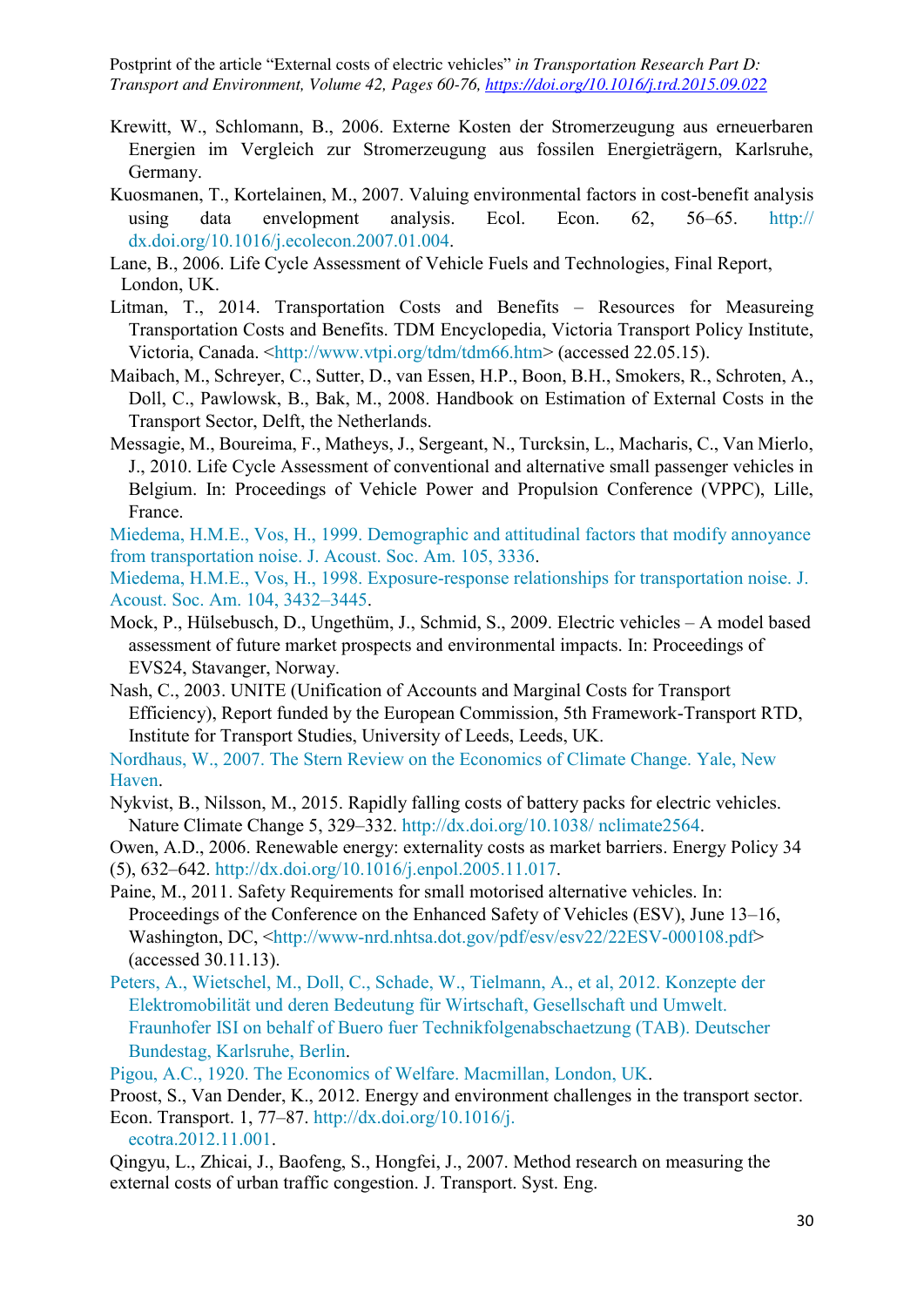- Krewitt, W., Schlomann, B., 2006. Externe Kosten der Stromerzeugung aus erneuerbaren Energien im Vergleich zur Stromerzeugung aus fossilen Energieträgern, Karlsruhe, Germany.
- Kuosmanen, T., Kortelainen, M., 2007. Valuing environmental factors in cost-benefit analysis using data envelopment analysis. Ecol. Econ. 62, 56–65. [http://](http://dx.doi.org/10.1016/j.ecolecon.2007.01.004) [dx.doi.org/10.1016/j.ecolecon.2007.01.004.](http://dx.doi.org/10.1016/j.ecolecon.2007.01.004)
- Lane, B., 2006. Life Cycle Assessment of Vehicle Fuels and Technologies, Final Report, London, UK.
- Litman, T., 2014. Transportation Costs and Benefits Resources for Measureing Transportation Costs and Benefits. TDM Encyclopedia, Victoria Transport Policy Institute, Victoria, Canada. [<http://www.vtpi.org/tdm/tdm66.htm>](http://www.vtpi.org/tdm/tdm66.htm) (accessed 22.05.15).
- Maibach, M., Schreyer, C., Sutter, D., van Essen, H.P., Boon, B.H., Smokers, R., Schroten, A., Doll, C., Pawlowsk, B., Bak, M., 2008. Handbook on Estimation of External Costs in the Transport Sector, Delft, the Netherlands.
- Messagie, M., Boureima, F., Matheys, J., Sergeant, N., Turcksin, L., Macharis, C., Van Mierlo, J., 2010. Life Cycle Assessment of conventional and alternative small passenger vehicles in Belgium. In: Proceedings of Vehicle Power and Propulsion Conference (VPPC), Lille, France.

[Miedema, H.M.E., Vos, H., 1999. Demographic and attitudinal factors that modify annoyance](http://refhub.elsevier.com/S1361-9209(15)00146-7/h0315)  [from transportation noise. J. Acoust. Soc. Am. 105, 3336.](http://refhub.elsevier.com/S1361-9209(15)00146-7/h0315)

[Miedema, H.M.E., Vos, H., 1998. Exposure-response relationships for transportation noise. J.](http://refhub.elsevier.com/S1361-9209(15)00146-7/h0320)  [Acoust. Soc. Am. 104, 3432](http://refhub.elsevier.com/S1361-9209(15)00146-7/h0320)–3445.

- Mock, P., Hülsebusch, D., Ungethüm, J., Schmid, S., 2009. Electric vehicles A model based assessment of future market prospects and environmental impacts. In: Proceedings of EVS24, Stavanger, Norway.
- Nash, C., 2003. UNITE (Unification of Accounts and Marginal Costs for Transport Efficiency), Report funded by the European Commission, 5th Framework-Transport RTD, Institute for Transport Studies, University of Leeds, Leeds, UK.

[Nordhaus, W., 2007. The Stern Review on the Economics of Climate Change. Yale, New](http://refhub.elsevier.com/S1361-9209(15)00146-7/h0335)  [Haven.](http://refhub.elsevier.com/S1361-9209(15)00146-7/h0335)

Nykvist, B., Nilsson, M., 2015. Rapidly falling costs of battery packs for electric vehicles. Nature Climate Change 5, 329–332. [http://dx.doi.org/10.1038/](http://dx.doi.org/10.1038/nclimate2564) [nclimate2564.](http://dx.doi.org/10.1038/nclimate2564)

Owen, A.D., 2006. Renewable energy: externality costs as market barriers. Energy Policy 34 (5), 632–642. [http://dx.doi.org/10.1016/j.enpol.2005.11.017.](http://dx.doi.org/10.1016/j.enpol.2005.11.017)

Paine, M., 2011. Safety Requirements for small motorised alternative vehicles. In: Proceedings of the Conference on the Enhanced Safety of Vehicles (ESV), June 13–16, Washington, DC, [<http://www-nrd.nhtsa.dot.gov/pdf/esv/esv22/22ESV-000108.pdf>](http://www-nrd.nhtsa.dot.gov/pdf/esv/esv22/22ESV-000108.pdf) (accessed 30.11.13).

- [Peters, A., Wietschel, M., Doll, C., Schade, W., Tielmann, A., et al, 2012. Konzepte der](http://refhub.elsevier.com/S1361-9209(15)00146-7/h0355)  [Elektromobilität und deren Bedeutung für Wirtschaft, Gesellschaft und Umwelt.](http://refhub.elsevier.com/S1361-9209(15)00146-7/h0355)  [Fraunhofer ISI on behalf of Buero fuer Technikfolgenabschaetzung \(TAB\). Deutscher](http://refhub.elsevier.com/S1361-9209(15)00146-7/h0355)  [Bundestag, Karlsruhe, Berlin.](http://refhub.elsevier.com/S1361-9209(15)00146-7/h0355)
- [Pigou, A.C., 1920. The Economics of Welfare. Macmillan, London, UK.](http://refhub.elsevier.com/S1361-9209(15)00146-7/h0360)

Proost, S., Van Dender, K., 2012. Energy and environment challenges in the transport sector. Econ. Transport. 1, 77–87. [http://dx.doi.org/10.1016/j.](http://dx.doi.org/10.1016/j.ecotra.2012.11.001) 

[ecotra.2012.11.001.](http://dx.doi.org/10.1016/j.ecotra.2012.11.001)

Qingyu, L., Zhicai, J., Baofeng, S., Hongfei, J., 2007. Method research on measuring the external costs of urban traffic congestion. J. Transport. Syst. Eng.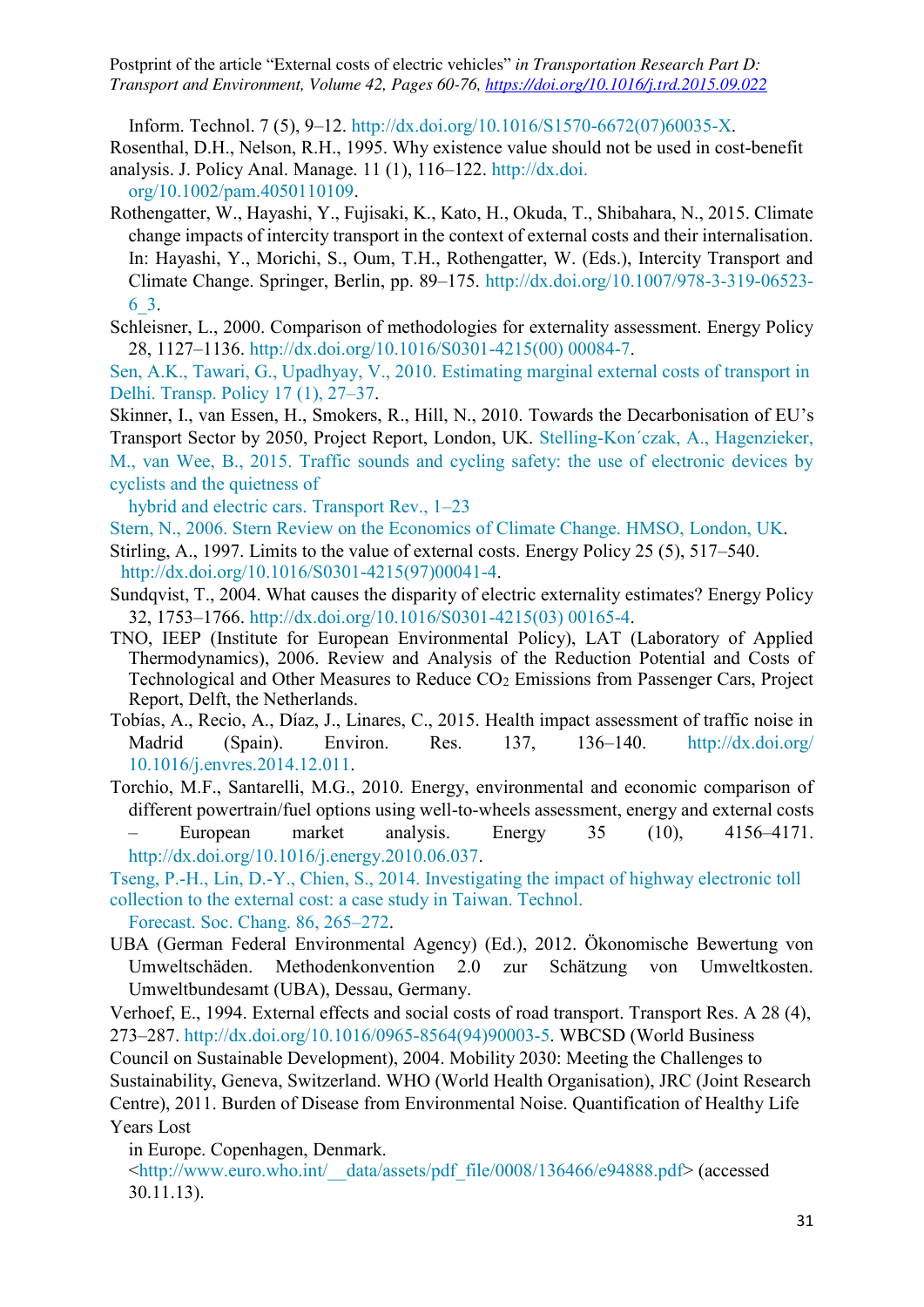Inform. Technol. 7 (5), 9–12. [http://dx.doi.org/10.1016/S1570-6672\(07\)60035-X.](http://dx.doi.org/10.1016/S1570-6672(07)60035-X)

Rosenthal, D.H., Nelson, R.H., 1995. Why existence value should not be used in cost-benefit analysis. J. Policy Anal. Manage. 11 (1), 116–122. [http://dx.doi.](http://dx.doi.org/10.1002/pam.4050110109) 

[org/10.1002/pam.4050110109.](http://dx.doi.org/10.1002/pam.4050110109)

- Rothengatter, W., Hayashi, Y., Fujisaki, K., Kato, H., Okuda, T., Shibahara, N., 2015. Climate change impacts of intercity transport in the context of external costs and their internalisation. In: Hayashi, Y., Morichi, S., Oum, T.H., Rothengatter, W. (Eds.), Intercity Transport and Climate Change. Springer, Berlin, pp. 89–175. [http://dx.doi.org/10.1007/978-3-319-06523-](http://dx.doi.org/10.1007/978-3-319-06523-6_3) [6\\_3.](http://dx.doi.org/10.1007/978-3-319-06523-6_3)
- Schleisner, L., 2000. Comparison of methodologies for externality assessment. Energy Policy 28, 1127–1136. [http://dx.doi.org/10.1016/S0301-4215\(00\)](http://dx.doi.org/10.1016/S0301-4215(00)00084-7) [00084-7.](http://dx.doi.org/10.1016/S0301-4215(00)00084-7)

[Sen, A.K., Tawari, G., Upadhyay, V., 2010. Estimating marginal external costs of transport in](http://refhub.elsevier.com/S1361-9209(15)00146-7/h0390)  [Delhi. Transp. Policy 17 \(1\), 27](http://refhub.elsevier.com/S1361-9209(15)00146-7/h0390)–37.

Skinner, I., van Essen, H., Smokers, R., Hill, N., 2010. Towards the Decarbonisation of EU's Transport Sector by 2050, Project Report, London, UK. [Stelling-Kon´czak, A., Hagenzieker,](http://refhub.elsevier.com/S1361-9209(15)00146-7/h0400)  [M., van Wee, B., 2015. Traffic sounds and cycling safety: the use of electronic devices by](http://refhub.elsevier.com/S1361-9209(15)00146-7/h0400)  [cyclists and the quietness of](http://refhub.elsevier.com/S1361-9209(15)00146-7/h0400) 

[hybrid and electric cars. Transport Rev., 1](http://refhub.elsevier.com/S1361-9209(15)00146-7/h0400)–23

- [Stern, N., 2006. Stern Review on the Economics of Climate Change. HMSO, London, UK.](http://refhub.elsevier.com/S1361-9209(15)00146-7/h0405)
- Stirling, A., 1997. Limits to the value of external costs. Energy Policy 25 (5), 517–540. [http://dx.doi.org/10.1016/S0301-4215\(97\)00041-4.](http://dx.doi.org/10.1016/S0301-4215(97)00041-4)
- Sundqvist, T., 2004. What causes the disparity of electric externality estimates? Energy Policy 32, 1753–1766. [http://dx.doi.org/10.1016/S0301-4215\(03\)](http://dx.doi.org/10.1016/S0301-4215(03)00165-4) [00165-4.](http://dx.doi.org/10.1016/S0301-4215(03)00165-4)
- TNO, IEEP (Institute for European Environmental Policy), LAT (Laboratory of Applied Thermodynamics), 2006. Review and Analysis of the Reduction Potential and Costs of Technological and Other Measures to Reduce CO2 Emissions from Passenger Cars, Project Report, Delft, the Netherlands.
- Tobías, A., Recio, A., Díaz, J., Linares, C., 2015. Health impact assessment of traffic noise in Madrid (Spain). Environ. Res. 137, 136–140. [http://dx.doi.org/](http://dx.doi.org/10.1016/j.envres.2014.12.011) [10.1016/j.envres.2014.12.011.](http://dx.doi.org/10.1016/j.envres.2014.12.011)
- Torchio, M.F., Santarelli, M.G., 2010. Energy, environmental and economic comparison of different powertrain/fuel options using well-to-wheels assessment, energy and external costs – European market analysis. Energy 35 (10), 4156–4171. [http://dx.doi.org/10.1016/j.energy.2010.06.037.](http://dx.doi.org/10.1016/j.energy.2010.06.037)

[Tseng, P.-H., Lin, D.-Y., Chien, S., 2014. Investigating the impact of highway electronic toll](http://refhub.elsevier.com/S1361-9209(15)00146-7/h0435)  [collection to the external cost: a case study in Taiwan. Technol.](http://refhub.elsevier.com/S1361-9209(15)00146-7/h0435) 

[Forecast. Soc. Chang. 86, 265](http://refhub.elsevier.com/S1361-9209(15)00146-7/h0435)–272.

UBA (German Federal Environmental Agency) (Ed.), 2012. Ökonomische Bewertung von Umweltschäden. Methodenkonvention 2.0 zur Schätzung von Umweltkosten. Umweltbundesamt (UBA), Dessau, Germany.

Verhoef, E., 1994. External effects and social costs of road transport. Transport Res. A 28 (4), 273–287. [http://dx.doi.org/10.1016/0965-8564\(94\)90003-5.](http://dx.doi.org/10.1016/0965-8564(94)90003-5) WBCSD (World Business

Council on Sustainable Development), 2004. Mobility 2030: Meeting the Challenges to Sustainability, Geneva, Switzerland. WHO (World Health Organisation), JRC (Joint Research Centre), 2011. Burden of Disease from Environmental Noise. Quantification of Healthy Life Years Lost

in Europe. Copenhagen, Denmark.

[<http://www.euro.who.int/\\_\\_data/assets/pdf\\_file/0008/136466/e94888.pdf>](http://www.euro.who.int/__data/assets/pdf_file/0008/136466/e94888.pdf) (accessed 30.11.13).